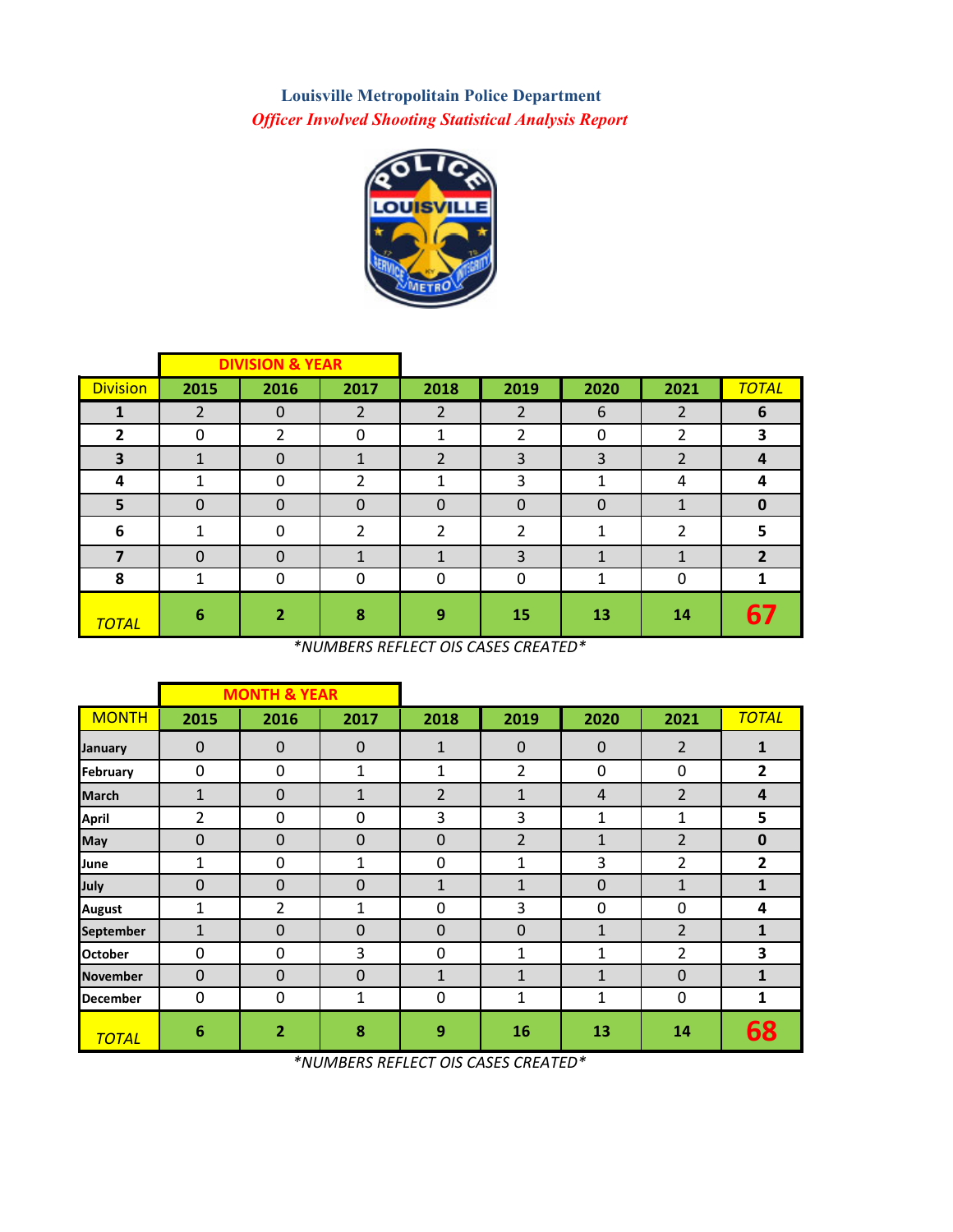**Louisville Metropolitain Police Department** *Officer Involved Shooting Statistical Analysis Report*



|                 |                | <b>DIVISION &amp; YEAR</b> |                |                |             |             |                |              |
|-----------------|----------------|----------------------------|----------------|----------------|-------------|-------------|----------------|--------------|
| <b>Division</b> | 2015           | 2016                       | 2017           | 2018           | 2019        | 2020        | 2021           | <b>TOTAL</b> |
|                 | $\overline{2}$ | $\mathbf 0$                | 2              | $\overline{2}$ | 2           | 6           | 2              | 6            |
| $\overline{2}$  | 0              | $\overline{2}$             | 0              | 1              | 2           | 0           | 2              | 3            |
| 3               |                | $\mathbf 0$                | $\mathbf{A}$   | $\overline{2}$ | 3           | 3           | $\overline{2}$ | 4            |
| 4               | 1              | 0                          | $\overline{2}$ | 1              | 3           | 1           | 4              | 4            |
| 5               | $\mathbf 0$    | $\mathbf 0$                | $\mathbf 0$    | $\mathbf 0$    | $\mathbf 0$ | $\mathbf 0$ | 1              | $\bf{0}$     |
| 6               | ◢              | $\mathbf{0}$               | $\mathcal{P}$  | 2              | 2           | 1           | 2              | 5            |
| 7               | $\Omega$       | $\mathbf 0$                |                |                | 3           | 1           | 1              | $\mathbf{2}$ |
| 8               |                | 0                          | $\Omega$       | 0              | 0           | 1           | $\mathbf 0$    |              |
| <b>TOTAL</b>    | 6              | $\overline{2}$             | 8              | 9              | 15          | 13          | 14             | 67           |

*\*NUMBERS REFLECT OIS CASES CREATED\**

|                 |                 | <b>MONTH &amp; YEAR</b> |              |                |                |              |                |                |
|-----------------|-----------------|-------------------------|--------------|----------------|----------------|--------------|----------------|----------------|
| <b>MONTH</b>    | 2015            | 2016                    | 2017         | 2018           | 2019           | 2020         | 2021           | <b>TOTAL</b>   |
| January         | $\mathbf 0$     | $\mathbf 0$             | $\mathbf 0$  | $\mathbf{1}$   | $\mathbf 0$    | $\mathbf 0$  | 2              | 1              |
| February        | $\mathbf 0$     | $\mathbf 0$             | 1            | 1              | $\overline{2}$ | $\Omega$     | $\mathbf{0}$   | $\overline{2}$ |
| <b>March</b>    | $\mathbf{1}$    | $\mathbf 0$             | $\mathbf{1}$ | $\overline{2}$ | $\mathbf{1}$   | 4            | $\overline{2}$ | 4              |
| April           | 2               | 0                       | 0            | 3              | 3              | 1            | $\mathbf{1}$   | 5              |
| May             | $\Omega$        | $\mathbf 0$             | $\Omega$     | 0              | $\overline{2}$ | $\mathbf{1}$ | $\overline{2}$ | $\mathbf 0$    |
| June            | $\mathbf{1}$    | 0                       | 1            | 0              | 1              | 3            | 2              | 2              |
| July            | $\mathbf 0$     | 0                       | $\mathbf 0$  | $\mathbf{1}$   | $\mathbf{1}$   | $\mathbf 0$  | $\mathbf{1}$   | 1              |
| <b>August</b>   | 1               | $\overline{2}$          | 1            | 0              | 3              | $\Omega$     | $\mathbf{0}$   | 4              |
| September       | 1               | $\mathbf 0$             | $\mathbf 0$  | $\mathbf 0$    | $\mathbf 0$    | $\mathbf{1}$ | $\overline{2}$ | $\mathbf{1}$   |
| <b>October</b>  | 0               | 0                       | 3            | 0              | 1              | 1            | 2              | 3              |
| <b>November</b> | $\mathbf 0$     | $\mathbf 0$             | $\mathbf 0$  | $\mathbf{1}$   | 1              | 1            | $\mathbf 0$    | 1              |
| <b>December</b> | $\mathbf 0$     | $\mathbf 0$             | 1            | 0              | 1              | 1            | $\mathbf 0$    | 1              |
| <b>TOTAL</b>    | $6\phantom{1}6$ | $\overline{2}$          | 8            | 9              | 16             | 13           | 14             | 68             |

*\*NUMBERS REFLECT OIS CASES CREATED\**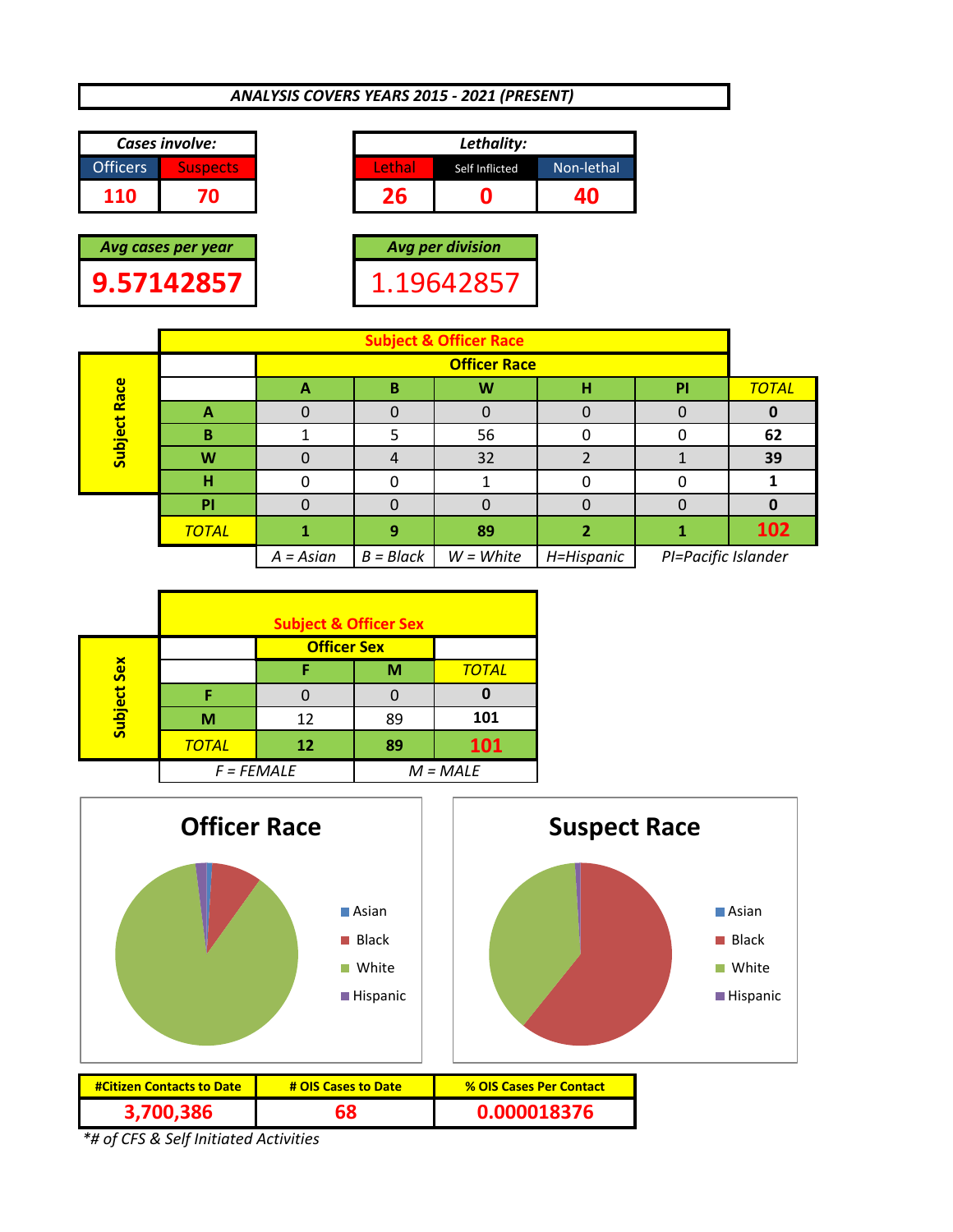# *ANALYSIS COVERS YEARS 2015 ‐ 2021 (PRESENT)*









|              |              |             |             | <b>Subject &amp; Officer Race</b> |            |                     |              |  |  |  |  |  |  |  |
|--------------|--------------|-------------|-------------|-----------------------------------|------------|---------------------|--------------|--|--|--|--|--|--|--|
|              |              |             |             | <b>Officer Race</b>               |            |                     |              |  |  |  |  |  |  |  |
| Subject Race |              | А           | в           | W                                 | н          | PI                  | <b>TOTAL</b> |  |  |  |  |  |  |  |
|              | А            |             |             |                                   |            |                     |              |  |  |  |  |  |  |  |
|              | 56<br>в      |             |             |                                   |            |                     |              |  |  |  |  |  |  |  |
|              | W            |             |             | 32                                |            |                     | 39           |  |  |  |  |  |  |  |
|              | н            |             |             |                                   |            |                     |              |  |  |  |  |  |  |  |
|              | PI           |             |             |                                   |            |                     |              |  |  |  |  |  |  |  |
|              | <b>TOTAL</b> |             | 9           | 89                                |            |                     | 102          |  |  |  |  |  |  |  |
|              |              | $A = Asian$ | $B = Black$ | $W = White$                       | H=Hispanic | PI=Pacific Islander |              |  |  |  |  |  |  |  |

|            |              | <b>Subject &amp; Officer Sex</b> |    |              |
|------------|--------------|----------------------------------|----|--------------|
|            |              | <b>Officer Sex</b>               |    |              |
| <b>Sex</b> |              |                                  | M  | <b>TOTAL</b> |
|            |              |                                  |    |              |
| Subject    | M            | 12                               | 89 | 101          |
|            | <b>TOTAL</b> | 12                               | 89 | 101          |
|            | $F = FEMALE$ |                                  |    | $M = MALE$   |



| <b>#Citizen Contacts to Date</b> | # OIS Cases to Date | <b>% OIS Cases Per Contact</b> |
|----------------------------------|---------------------|--------------------------------|
| 3.700.386                        | 68                  | 0.000018376                    |

*\*# of CFS & Self Initiated Activities*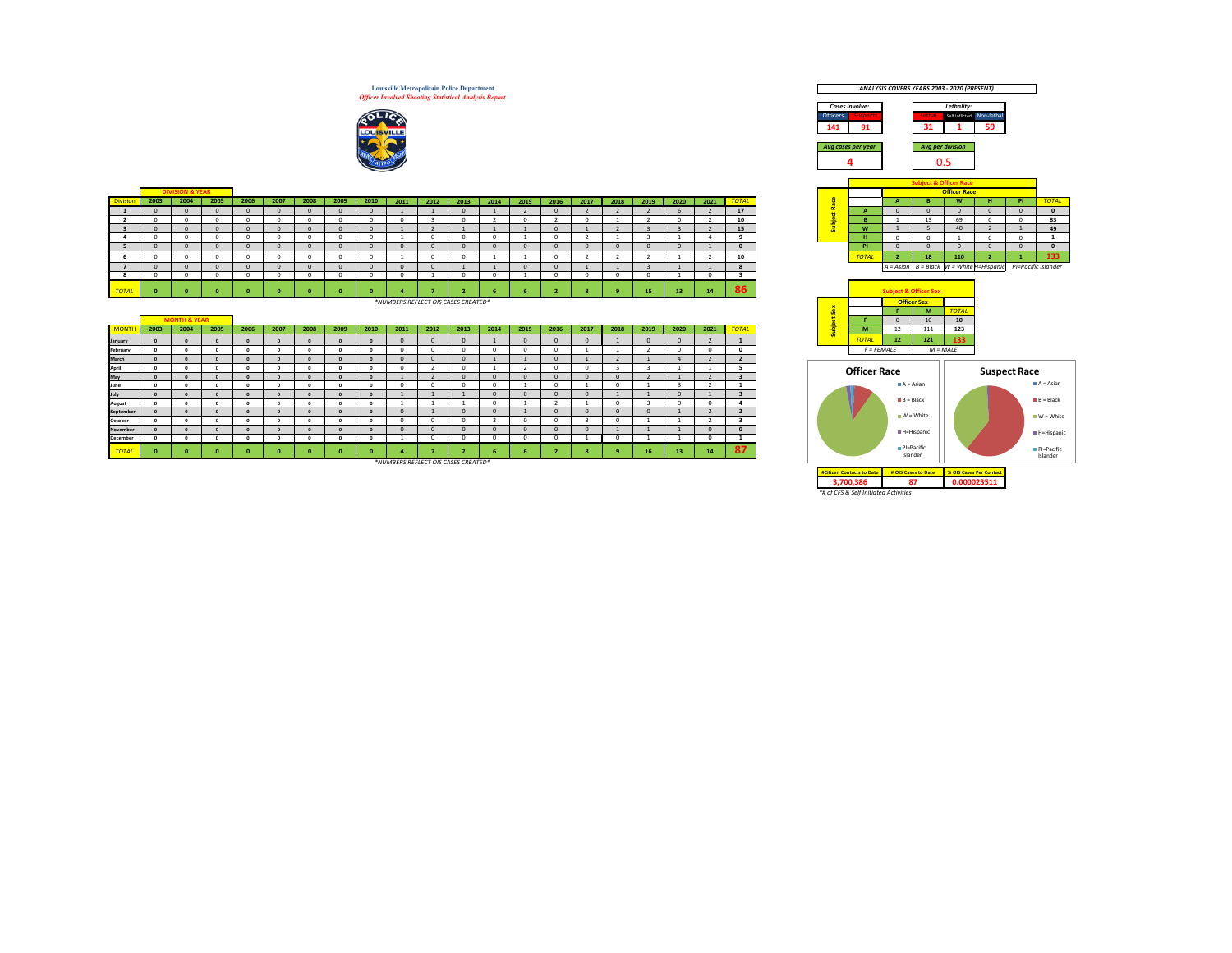**Louisville Metropolitain Police Department** *Officer Involved Shooting Statistical Analysis Report*



|                 |      |                            |      |      |      |      |      |      |      |      |      |      |      |      |      |      |      |      |      |                 |  |              |    | <b>SUPPLY &amp; OTTLET NALE</b> |                                                                 |     |             |
|-----------------|------|----------------------------|------|------|------|------|------|------|------|------|------|------|------|------|------|------|------|------|------|-----------------|--|--------------|----|---------------------------------|-----------------------------------------------------------------|-----|-------------|
|                 |      | <b>DIVISION &amp; YEAR</b> |      |      |      |      |      |      |      |      |      |      |      |      |      |      |      |      |      |                 |  |              |    | <b>Officer Race</b>             |                                                                 |     |             |
| <b>Division</b> | 2003 | 2004                       | 2005 | 2006 | 2007 | 2008 | 2009 | 2010 | 2011 | 2012 | 2013 | 2014 | 2015 | 2016 | 2017 | 2018 | 2019 | 2020 | 2021 | <b>TOTAL</b>    |  |              |    | <b>MI</b>                       |                                                                 | PL. | <b>TOTA</b> |
|                 |      |                            |      |      |      |      |      |      |      |      |      |      |      |      |      |      |      |      |      | 17 <sup>2</sup> |  |              |    |                                 |                                                                 |     |             |
|                 |      |                            |      |      |      |      |      |      |      |      |      |      |      |      |      |      |      |      |      | 10              |  |              | -- | 69                              |                                                                 |     | 83          |
|                 |      |                            |      |      |      |      |      |      |      |      |      |      |      |      |      |      |      |      |      | 15              |  | 18.44        |    |                                 |                                                                 |     | 49          |
|                 |      |                            |      |      |      |      |      |      |      |      |      |      |      |      |      |      |      |      |      |                 |  |              |    |                                 |                                                                 |     |             |
|                 |      |                            |      |      |      |      |      |      |      |      |      |      |      |      |      |      |      |      |      |                 |  | P            |    |                                 |                                                                 |     |             |
|                 |      |                            |      |      |      |      |      |      |      |      |      |      |      |      |      |      |      |      |      | 10              |  | <b>TOTAL</b> | 18 | 110                             |                                                                 |     | -133        |
|                 |      |                            |      |      |      |      |      |      |      |      |      |      |      |      |      |      |      |      |      |                 |  |              |    |                                 | A = Asian   B = Black   W = White H=Hispanic PI=Pacific Islande |     |             |
|                 |      |                            |      |      |      |      |      |      |      |      |      |      |      |      |      |      |      |      |      |                 |  |              |    |                                 |                                                                 |     |             |
| <b>TOTAL</b>    |      |                            |      |      |      |      |      |      |      |      |      |      |      |      |      |      | 15   | 13   | 14   | oc<br>ъn.       |  |              |    |                                 |                                                                 |     |             |

*\*NUMBERS REFLECT OIS CASES CREATED\**

|              |      | <b>MONTH &amp; YEAR</b> |      |      |      |      |      |      |      |      |              |      |      |      |      |      |      |      |      |              |     |                     |                        | 10         | 10  |
|--------------|------|-------------------------|------|------|------|------|------|------|------|------|--------------|------|------|------|------|------|------|------|------|--------------|-----|---------------------|------------------------|------------|-----|
| <b>MONTH</b> | 2003 | 2004                    | 2005 | 2006 | 2007 | 2008 | 2009 | 2010 | 2011 | 2012 | 2013         | 2014 | 2015 | 2016 | 2017 | 2018 | 2019 | 2020 | 2021 | <b>TOTAL</b> | - 3 | M                   | 12                     | 111        | 123 |
| January      |      |                         |      |      |      |      |      |      |      |      |              |      |      |      |      |      |      |      |      |              | ū   | <b>TOTAL</b>        | 12 <sup>2</sup>        | 121        | 133 |
| February     |      |                         |      |      |      |      |      |      |      |      |              |      |      |      |      |      |      |      |      | 0            |     | $F = FEMALE$        |                        | $M = MALE$ |     |
| March        |      |                         |      |      |      |      |      |      |      |      | n            |      |      |      |      |      |      |      |      |              |     |                     |                        |            |     |
| April        |      |                         |      |      |      |      |      |      |      |      |              |      |      |      |      |      |      |      |      |              |     | <b>Officer Race</b> |                        |            |     |
| May          |      |                         |      |      |      |      |      |      |      |      | $\Omega$     |      |      |      |      |      |      |      |      |              |     |                     |                        |            |     |
| June         |      |                         |      |      |      |      |      |      | n    |      |              |      |      |      |      |      |      |      |      |              |     |                     | $A = Asian$            |            |     |
| July         |      |                         |      |      |      |      |      |      |      |      |              |      |      |      |      |      |      |      |      |              |     |                     |                        |            |     |
| August       |      |                         |      |      |      |      |      |      |      |      |              |      |      |      |      |      |      |      |      |              |     |                     | $B = Black$            |            |     |
| September    |      |                         |      |      |      |      |      |      |      |      | $\mathbf{0}$ |      |      |      |      |      |      |      |      |              |     |                     | $W = White$            |            |     |
| October      |      |                         |      |      |      |      |      |      |      |      |              |      |      |      |      |      |      |      |      | - 3          |     |                     |                        |            |     |
| November     |      |                         |      |      |      |      |      |      |      |      | $\Omega$     |      |      |      |      |      |      |      |      | $\Omega$     |     |                     | <b>III H</b> =Hispanic |            |     |
| December     |      |                         |      |      |      |      |      |      |      |      |              |      |      |      |      |      |      |      |      |              |     |                     |                        |            |     |
| <b>TOTAL</b> |      |                         |      |      |      |      |      |      |      |      |              |      |      |      |      |      |      | 13   | 14   | 87           |     |                     | PI=Pacific<br>Islander |            |     |

*\*NUMBERS REFLECT OIS CASES CREATED\**



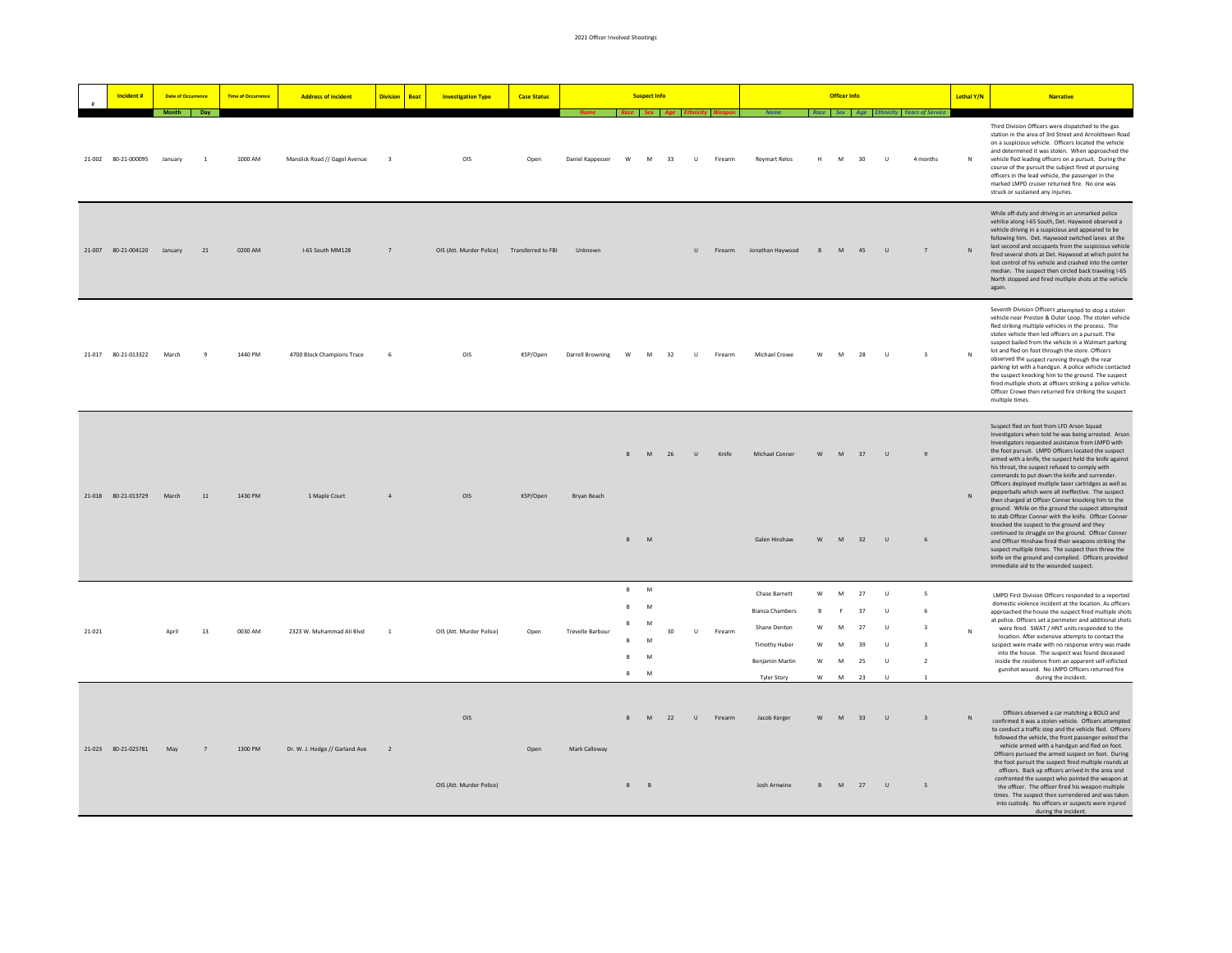|        | Incident #                  | <b>Date of Occurrence</b> |                | <b>Time of Occurrence</b> | <b>Address of incident</b>     | <b>Division</b><br><b>Beat</b> | <b>Investigation Type</b>                   | <b>Case Status</b> |                         |                                                 | <b>Suspect Info</b>        |    |              |         |                                                                                                                          |                                       | <b>Officer Info</b>        |                                  |                                                                   |                                                                                                  | Lethal Y/N   | <b>Narrative</b>                                                                                                                                                                                                                                                                                                                                                                                                                                                                                                                                                                                                                                                                                                                                                                                                                                                                                                                                                                   |
|--------|-----------------------------|---------------------------|----------------|---------------------------|--------------------------------|--------------------------------|---------------------------------------------|--------------------|-------------------------|-------------------------------------------------|----------------------------|----|--------------|---------|--------------------------------------------------------------------------------------------------------------------------|---------------------------------------|----------------------------|----------------------------------|-------------------------------------------------------------------|--------------------------------------------------------------------------------------------------|--------------|------------------------------------------------------------------------------------------------------------------------------------------------------------------------------------------------------------------------------------------------------------------------------------------------------------------------------------------------------------------------------------------------------------------------------------------------------------------------------------------------------------------------------------------------------------------------------------------------------------------------------------------------------------------------------------------------------------------------------------------------------------------------------------------------------------------------------------------------------------------------------------------------------------------------------------------------------------------------------------|
|        |                             | Month Day                 |                |                           |                                |                                |                                             |                    |                         | Race Sex Age Ethnicity W                        |                            |    |              |         |                                                                                                                          |                                       |                            |                                  |                                                                   | Race Sex Age Ethnicity Years of Service                                                          |              |                                                                                                                                                                                                                                                                                                                                                                                                                                                                                                                                                                                                                                                                                                                                                                                                                                                                                                                                                                                    |
|        | 21-002 80-21-000095         | January                   | $\overline{1}$ | 1000 AM                   | Manslick Road // Gagel Avenue  | $\overline{\mathbf{3}}$        | OIS                                         | Oper               | Daniel Kappesser        | W                                               | M                          | 33 | $\cup$       | Firearm | <b>Reymart Relos</b>                                                                                                     |                                       | M                          | 30                               | $\cup$                                                            | 4 months                                                                                         |              | Third Division Officers were dispatched to the gas<br>station in the area of 3rd Street and Arnoldtown Road<br>on a suspicious vehicle. Officers located the vehicle<br>and determined it was stolen. When approached the<br>vehicle fled leading officers on a pursuit. During the<br>course of the pursuit the subject fired at pursuing<br>officers in the lead vehicle, the passenger in the<br>marked LMPD cruiser returned fire. No one was<br>struck or sustained any injuries.                                                                                                                                                                                                                                                                                                                                                                                                                                                                                             |
|        | 21-007 80-21-004120 January |                           | 21             | 0200 AM                   | I-65 South MM128               | $\overline{7}$                 | OIS (Att. Murder Police) Transferred to FBI |                    | Unknown                 |                                                 |                            |    | $\cup$       | Firearm | Jonathan Haywood                                                                                                         | B                                     | M                          | 45                               | $\cup$                                                            | 7                                                                                                | N            | While off-duty and driving in an unmarked police<br>vehilce along I-65 South, Det. Haywood observed a<br>vehicle driving in a suspicious and appeared to be<br>following him. Det. Haywood switched lanes at the<br>last second and occupants from the suspicious vehicle<br>fired several shots at Det. Haywood at which point he<br>lost control of his vehicle and crashed into the center<br>median. The suspect then circled back traveling I-65<br>North stopped and fired mutliple shots at the vehicle<br>again.                                                                                                                                                                                                                                                                                                                                                                                                                                                           |
|        | 21-017 80-21-013322 March   |                           | $\alpha$       | 1440 PM                   | 4700 Block Champions Trace     | -6                             | OIS                                         | KSP/Onen           | Darrell Browning        | <b>W</b>                                        | M                          | 32 | $\mathbf{u}$ | Firearm | Michael Crowe                                                                                                            | W                                     | M                          | 28                               | $\mathbf{U}$                                                      | $\overline{3}$                                                                                   | N            | Seventh Division Officers attempted to stop a stolen<br>vehicle near Preston & Outer Loop. The stolen vehicle<br>fled striking multiple vehicles in the process. The<br>stolen vehicle then led officers on a pursuit. The<br>suspect bailed from the vehicle in a Walmart parking<br>lot and fled on foot through the store. Officers<br>observed the suspect running through the rear<br>parking lot with a handgun. A police vehicle contacted<br>the suspect knocking him to the ground. The suspect<br>fired mutliple shots at officers striking a police vehicle.<br>Officer Crowe then returned fire striking the suspect<br>multiple times.                                                                                                                                                                                                                                                                                                                                |
|        | 21-018 80-21-013729         | March                     | $11\,$         | 1430 PM                   | 1 Maple Court                  | $\sqrt{4}$                     | OIS                                         | KSP/Open           | Bryan Beach             |                                                 | M<br>R M                   | 26 | $\cup$       | Knife   | Michael Conner<br>Galen Hinshaw                                                                                          | w<br>W                                | M<br>M                     | 37<br>32                         | $\cup$<br>$\cup$                                                  | $\overline{9}$<br>$6 \overline{6}$                                                               | ${\sf N}$    | Suspect fled on foot from LED Arson Squad<br>Investigators when told he was being arrested. Arson<br>Investigators requested assistance from LMPD with<br>the foot pursuit. IMPD Officers located the suspect<br>armed with a knife, the suspect held the knife against<br>his throat, the suspect refused to comply with<br>commands to put down the knife and surrender.<br>Officers deployed mutliple taser cartridges as well as<br>pepperballs which were all ineffective. The suspect<br>then charged at Officer Conner knocking him to the<br>ground. While on the ground the suspect attempted<br>to stab Officer Conner with the knife. Officer Conner<br>knocked the suspect to the ground and they<br>continued to struggle on the ground. Officer Conner<br>and Officer Hinshaw fired their weapons striking the<br>suspect multiple times. The suspect then threw the<br>knife on the ground and complied. Officers provided<br>immediate aid to the wounded suspect. |
| 21-021 |                             |                           | $13\,$         | 0030 AM                   | 2323 W. Muhammad Ali Blvd      | $\overline{1}$                 | OIS (Att. Murder Police)                    | Open               | <b>Trevelle Barbour</b> | B<br>$\,$ B $\,$<br>R<br>$\mathsf{R}$<br>B<br>B | M<br>M<br>M<br>M<br>M<br>M | 30 | $\cup$       | Firearm | Chase Barnett<br><b>Bianca Chambers</b><br>Shane Denton<br><b>Timothy Huber</b><br>Benjamin Martin<br><b>Tyler Story</b> | w<br>$\mathbf{B}$<br>W<br>W<br>w<br>w | M<br>F<br>M<br>M<br>M<br>M | 27<br>37<br>27<br>39<br>25<br>23 | $\cup$<br>$\cup$<br>$\cup$<br>$\cup$<br>$\cup$<br>$\overline{11}$ | 5<br>6<br>$\overline{\mathbf{3}}$<br>$\overline{\mathbf{3}}$<br>$\overline{2}$<br>$\overline{1}$ | $\mathbb{N}$ | LMPD First Division Officers responded to a reported<br>domestic violence incident at the location. As officers<br>approached the house the suspect fired multiple shots<br>at police. Officers set a perimeter and additional shots<br>were fired. SWAT / HNT units responded to the<br>location. After extensive attempts to contact the<br>suspect were made with no response entry was made<br>into the house. The suspect was found deceased<br>inside the residence from an apparent self-inflicted<br>gunshot wound. No LMPD Officers returned fire<br>during the incident.                                                                                                                                                                                                                                                                                                                                                                                                 |
|        | 21-023 80-21-025781         | May                       | 7              | 1300 PM                   | Dr. W. J. Hodge // Garland Ave | $\overline{2}$                 | OIS<br>OIS (Att. Murder Police)             | Open               | Mark Calloway           | $\mathsf{R}$<br>$B$ $B$                         | <b>M</b>                   | 22 | $\cup$       | Firearm | Jacob Kerger<br>Josh Arnwine                                                                                             | W<br>B.                               | M                          | 33                               | $\cup$<br>M 27 U                                                  | $\overline{\mathbf{3}}$<br>5                                                                     | N            | Officers observed a car matching a BOLO and<br>confirmed it was a stolen vehicle. Officers attempted<br>to conduct a traffic stop and the vehicle fled. Officers<br>followed the vehicle, the front passenger exited the<br>vehicle armed with a handgun and fled on foot.<br>Officers pursued the armed suspect on foot. During<br>the foot pursuit the suspect fired multiple rounds at<br>officers. Back up officers arrived in the area and<br>confronted the susepct who pointed the weapon at<br>the officer. The officer fired his weapon multiple<br>times. The suspect then surrendered and was taken<br>into custody. No officers or suspects were injured<br>during the incident.                                                                                                                                                                                                                                                                                       |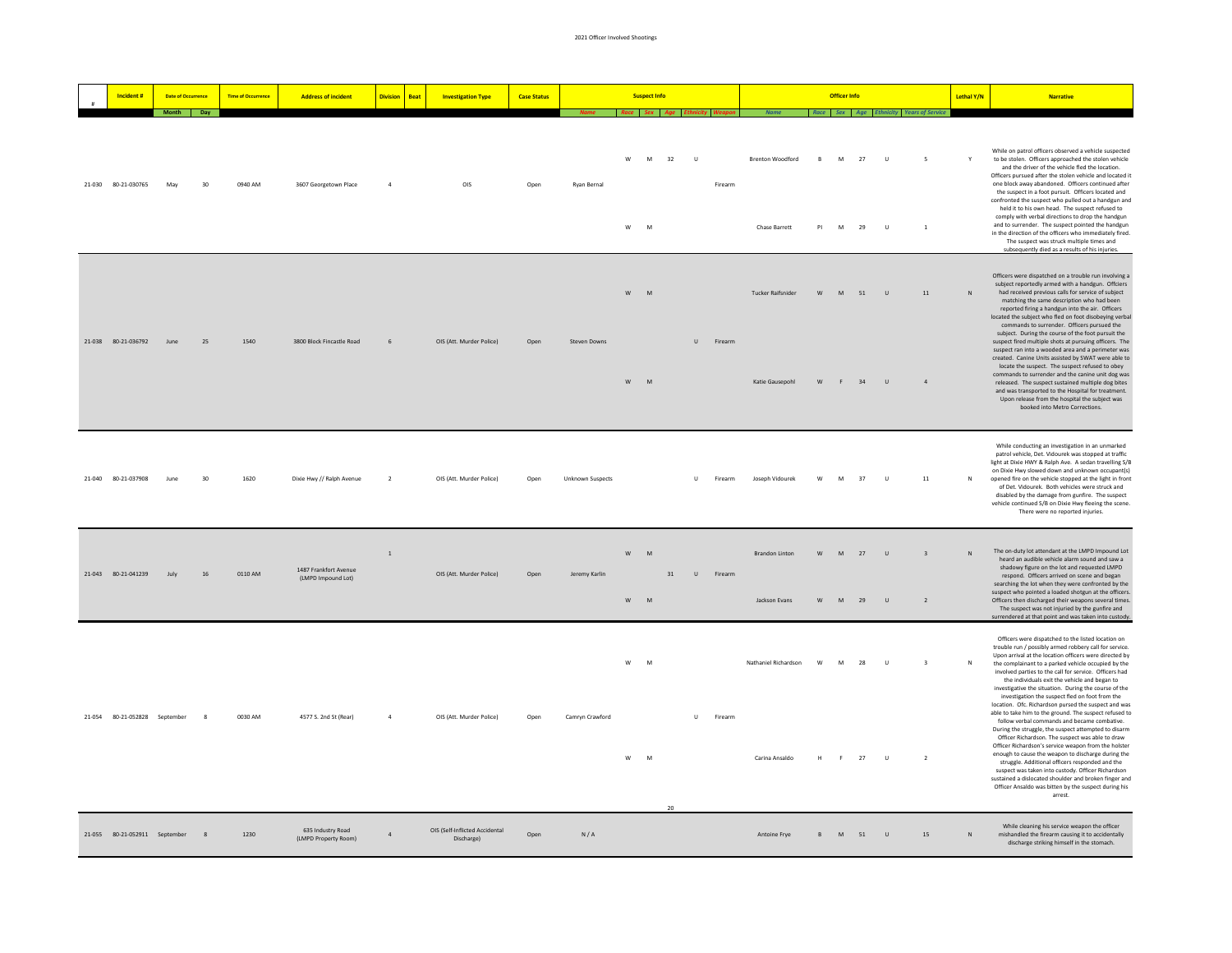|  | Incident #                    | <b>Date of Occurrence</b> |              | <b>Time of Occurrence</b> | <b>Address of incident</b>                  | <b>Division</b><br><b>Beat</b> | <b>Investigation Type</b>                    | <b>Case Status</b> |                                    |        | <b>Suspect Info</b> |              |         |                                                     |                      | <b>Officer Info</b> |          |                  |                                            | Lethal Y/N   | <b>Narrative</b>                                                                                                                                                                                                                                                                                                                                                                                                                                                                                                                                                                                                                                                                                                         |
|--|-------------------------------|---------------------------|--------------|---------------------------|---------------------------------------------|--------------------------------|----------------------------------------------|--------------------|------------------------------------|--------|---------------------|--------------|---------|-----------------------------------------------------|----------------------|---------------------|----------|------------------|--------------------------------------------|--------------|--------------------------------------------------------------------------------------------------------------------------------------------------------------------------------------------------------------------------------------------------------------------------------------------------------------------------------------------------------------------------------------------------------------------------------------------------------------------------------------------------------------------------------------------------------------------------------------------------------------------------------------------------------------------------------------------------------------------------|
|  |                               | Month Day                 |              |                           |                                             |                                |                                              |                    | Name Race Sex Age Ethnicity Weapon |        |                     |              |         | <b>Name</b> Race Sex Age Ethnicity Years of Service |                      |                     |          |                  |                                            |              |                                                                                                                                                                                                                                                                                                                                                                                                                                                                                                                                                                                                                                                                                                                          |
|  | 21-030 80-21-030765           | May                       | 30           | 0940 AM                   | 3607 Georgetown Place                       | $\Lambda$                      | OIS                                          | Open               | Ryan Bernal                        | w<br>w | M<br>32<br>M        | $\cup$       | Firearm | <b>Brenton Woodford</b><br><b>Chase Barrett</b>     | $\overline{B}$<br>PI | M<br>M              | 27<br>29 | $\cup$<br>$\cup$ | $\overline{\phantom{a}}$<br>$\overline{1}$ |              | While on patrol officers observed a vehicle suspected<br>to be stolen. Officers approached the stolen vehicle<br>and the driver of the vehicle fled the location.<br>Officers pursued after the stolen vehicle and located it<br>one block away abandoned. Officers continued after<br>the suspect in a foot pursuit. Officers located and<br>confronted the suspect who pulled out a handgun and<br>held it to his own head. The suspect refused to<br>comply with verbal directions to drop the handgun<br>and to surrender. The suspect pointed the handgun<br>in the direction of the officers who immediately fired<br>The suspect was struck multiple times and<br>subsequently died as a results of his injuries. |
|  |                               |                           |              |                           |                                             |                                |                                              |                    |                                    | w      | ${\sf M}$           |              |         | Tucker Raifsnider                                   | W                    | M                   | 51       | $\cup$           | 11                                         | N            | Officers were dispatched on a trouble run involving a<br>subject reportedly armed with a handgun. Offciers<br>had received previous calls for service of subject<br>matching the same description who had been<br>reported firing a handgun into the air. Officers<br>located the subject who fled on foot disobeying verbal<br>commands to surrender. Officers pursued the<br>subject. During the course of the foot pursuit the                                                                                                                                                                                                                                                                                        |
|  | 21-038 80-21-036792           | lune                      | 25           | 1540                      | 3800 Block Fincastle Road                   | 6                              | OIS (Att. Murder Police)                     | Open               | Steven Downs                       | W      | M                   | $\mathbf{U}$ | Firearm | Katie Gausepohl                                     | W                    | F                   | 34       | $\cup$           | $\overline{4}$                             |              | suspect fired multiple shots at pursuing officers. The<br>suspect ran into a wooded area and a perimeter was<br>created. Canine Units assisted by SWAT were able to<br>locate the suspect. The suspect refused to obey<br>commands to surrender and the canine unit dog was<br>released. The suspect sustained multiple dog bites<br>and was transported to the Hospital for treatment.<br>Upon release from the hospital the subject was<br>booked into Metro Corrections.                                                                                                                                                                                                                                              |
|  | 21-040 80-21-037908           | June                      | 30           | 1620                      | Dixie Hwy // Ralph Avenue                   | $\overline{2}$                 | OIS (Att. Murder Police)                     | Open               | <b>Unknown Suspects</b>            |        |                     | U            | Firearm | Joseph Vidourek                                     | W                    | M                   | 37       | $\cup$           | $11\,$                                     |              | While conducting an investigation in an unmarked<br>patrol vehicle, Det. Vidourek was stopped at traffic<br>light at Dixie HWY & Ralph Ave. A sedan travelling S/B<br>on Dixie Hwy slowed down and unknown occupant(s)<br>opened fire on the vehicle stopped at the light in front<br>of Det. Vidourek. Both vehicles were struck and<br>disabled by the damage from gunfire. The suspect<br>vehicle continued S/B on Dixie Hwy fleeing the scene.<br>There were no reported injuries.                                                                                                                                                                                                                                   |
|  | 21-043 80-21-041239           | July                      | 16           | 0110 AM                   | 1487 Frankfort Avenue<br>(LMPD Impound Lot) | $\,1\,$                        | OIS (Att. Murder Police)                     | Open               | Jeremy Karlin                      | W<br>W | M<br>31<br>M        | $\cup$       | Firearm | <b>Brandon Linton</b><br>Jackson Evans              | w<br>W               | ${\sf M}$<br>M      | 27<br>29 | $\cup$<br>$\cup$ | $\overline{\mathbf{3}}$<br>$\overline{2}$  | $\mathbf{N}$ | The on-duty lot attendant at the LMPD Impound Lot<br>heard an audible vehicle alarm sound and saw a<br>shadowy figure on the lot and requested LMPD<br>respond. Officers arrived on scene and began<br>searching the lot when they were confronted by the<br>suspect who pointed a loaded shotgun at the officers.<br>Officers then discharged their weapons several times.<br>The suspect was not injuried by the gunfire and                                                                                                                                                                                                                                                                                           |
|  |                               |                           |              |                           |                                             |                                |                                              |                    |                                    | w      | M                   |              |         | Nathaniel Richardson                                | W                    | M                   | 28       | $\cup$           | $\overline{\mathbf{3}}$                    | $\mathbb{N}$ | surrendered at that point and was taken into custody.<br>Officers were dispatched to the listed location on<br>trouble run / possibly armed robbery call for service.<br>Upon arrival at the location officers were directed by<br>the complainant to a parked vehicle occupied by the<br>involved parties to the call for service. Officers had<br>the individuals exit the vehicle and began to<br>investigative the situation. During the course of the<br>investigation the suspect fled on foot from the                                                                                                                                                                                                            |
|  | 21-054 80-21-052828 September |                           | $\mathbf{R}$ | 0030 AM                   | 4577 S. 2nd St (Rear)                       | $\mathbf{A}$                   | OIS (Att. Murder Police)                     | Onen               | Camryn Crawford                    | w      | M<br>20             | $\mathbf{U}$ | Firearm | Carina Ansaldo                                      | H                    |                     | F 27     | $\cup$           | $\overline{2}$                             |              | location. Ofc. Richardson pursed the suspect and was<br>able to take him to the ground. The suspect refused to<br>follow verbal commands and became combative.<br>During the struggle, the suspect attempted to disarm<br>Officer Richardson. The suspect was able to draw<br>Officer Richardson's service weapon from the holster<br>enough to cause the weapon to discharge during the<br>struggle. Additional officers responded and the<br>suspect was taken into custody. Officer Richardson<br>sustained a dislocated shoulder and broken finger and<br>Officer Ansaldo was bitten by the suspect during his<br>arrest.                                                                                            |
|  | 21-055 80-21-052911 September |                           |              | 1230                      | 635 Industry Road<br>(LMPD Property Room)   | $\overline{a}$                 | OIS (Self-Inflicted Accidental<br>Discharge) | Open               | N/A                                |        |                     |              |         | Antoine Frve                                        | $\mathsf{R}$         | M                   | 51       | $\cup$           | 15                                         | $\mathbf{N}$ | While cleaning his service weapon the officer<br>mishandled the firearm causing it to accidentally<br>discharge striking himself in the stomach.                                                                                                                                                                                                                                                                                                                                                                                                                                                                                                                                                                         |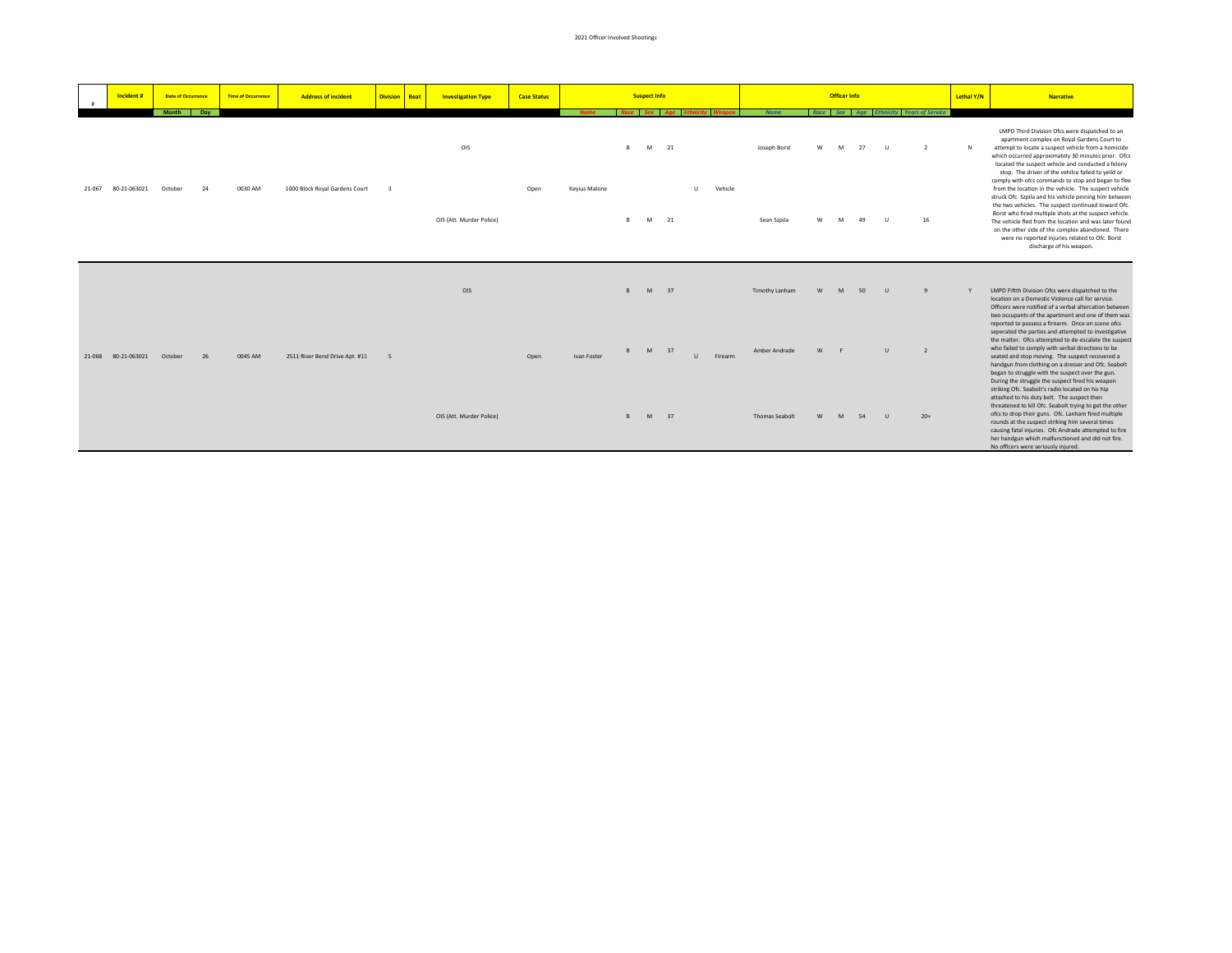|        | Incident #   | <b>Date of Occurrence</b> |     | <b>Time of Occurrence</b> | <b>Address of incident</b>     | <b>Division</b> | <b>Beat</b> | <b>Investigation Type</b> | <b>Case Status</b> |                      |              | <b>Suspect Info</b> |              |              |         |                       |   | <b>Officer Info</b> |    |              |                                         |    | Lethal Y/N | <b>Narrative</b>                                                                                                                                                                                                                                                                                                                                                                                                                                                                                |
|--------|--------------|---------------------------|-----|---------------------------|--------------------------------|-----------------|-------------|---------------------------|--------------------|----------------------|--------------|---------------------|--------------|--------------|---------|-----------------------|---|---------------------|----|--------------|-----------------------------------------|----|------------|-------------------------------------------------------------------------------------------------------------------------------------------------------------------------------------------------------------------------------------------------------------------------------------------------------------------------------------------------------------------------------------------------------------------------------------------------------------------------------------------------|
|        |              | Month                     | Day |                           |                                |                 |             |                           |                    | <b>Name</b>          |              |                     | Race Sex Age |              |         | <b>Name</b>           |   |                     |    |              | Race Sex Age Ethnicity Years of Service |    |            |                                                                                                                                                                                                                                                                                                                                                                                                                                                                                                 |
|        |              |                           |     |                           |                                |                 |             | OIS                       |                    |                      | $\mathbb{R}$ | M                   | 21           |              |         | Joseph Borst          |   |                     | 27 |              |                                         |    | N          | LMPD Third Division Ofcs were dispatched to an<br>apartment complex on Royal Gardens Court to<br>attempt to locate a suspect vehicle from a homicide<br>which occurred approximately 30 minutes prior. Ofcs<br>located the suspect vehicle and conducted a felony<br>stop. The driver of the vehilce failed to yeild or                                                                                                                                                                         |
| 21-067 | 80-21-063021 | October                   | 24  | 0030 AM                   | 1000 Block Royal Gardens Court |                 |             | OIS (Att. Murder Police)  | Open               | <b>Keyius Malone</b> | R.           | M                   | 21           | ш            | Vehicle | Sean Szpila           |   |                     | 49 |              |                                         | 16 |            | comply with ofcs commands to stop and began to flee<br>from the location in the vehicle. The suspect vehicle<br>struck Ofc. Szpila and his vehicle pinning him between<br>the two vehicles. The suspect continued toward Ofc.<br>Borst who fired multiple shots at the suspect vehicle.<br>The vehicle fled from the location and was later found<br>on the other side of the complex abandoned. There<br>were no reported injuries related to Ofc. Borst<br>discharge of his weapon.           |
|        |              |                           |     |                           |                                |                 |             | OIS                       |                    |                      | $\mathbb{R}$ | M                   | 37           |              |         | Timothy Lanham        | W | M                   | 50 | $\mathbf{u}$ | $\mathbf{q}$                            |    |            | LMPD Fiftth Division Ofcs were dispatched to the<br>location on a Domestic Violence call for service.<br>Officers were notified of a verbal altercation between                                                                                                                                                                                                                                                                                                                                 |
| 21-068 | 80-21-063021 | October                   | 26  | 0045 AM                   | 2511 River Bend Drive Apt. #11 | $\overline{5}$  |             |                           | Open               | Ivan Foster          | $\mathbb{R}$ | M                   | 37           | $\mathbf{u}$ | Firearm | Amber Andrade         |   |                     |    |              | $\overline{z}$                          |    |            | two occupants of the apartment and one of them was<br>reported to possess a firearm. Once on scene ofcs<br>seperated the parties and attempted to investigative<br>the matter. Ofcs attempted to de-escalate the suspect<br>who failed to comply with verbal directions to be<br>seated and stop moving. The suspect recovered a<br>handgun from clothing on a dresser and Ofc. Seabolt<br>began to struggle with the suspect over the gun.<br>During the struggle the suspect fired his weapon |
|        |              |                           |     |                           |                                |                 |             | OIS (Att. Murder Police)  |                    |                      |              |                     | M 37         |              |         | <b>Thomas Seabolt</b> |   |                     | 54 |              | $20+$                                   |    |            | striking Ofc. Seabolt's radio located on his hip<br>attached to his duty belt. The suspect then<br>threatened to kill Ofc. Seabolt trying to get the other<br>ofcs to drop their guns. Ofc. Lanham fired multiple<br>rounds at the suspect striking him several times<br>causing fatal injuries. Ofc Andrade attempted to fire<br>her handgun which malfunctioned and did not fire.                                                                                                             |

No officers were seriously injured.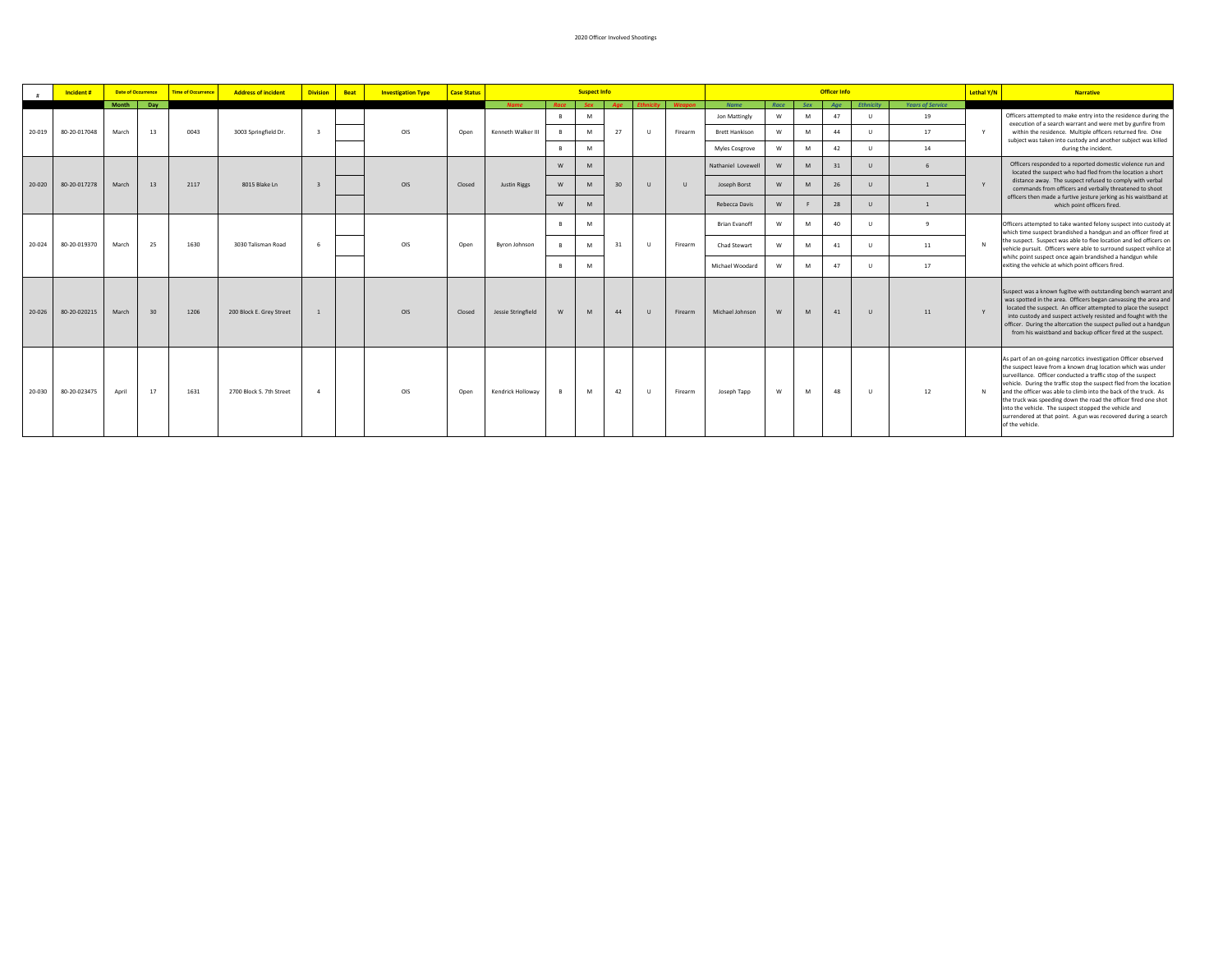|        | Incident#    |       | <b>Date of Occurrence</b> | <b>Time of Occurrence</b> | <b>Address of incident</b> | <b>Division</b>         | <b>Beat</b> | <b>Investigation Type</b> | <b>Case Status</b> |                     |                | <b>Suspect Info</b> |    |              |               |                       |      |            | <b>Officer Info</b> |                  |                         | Lethal Y/N   | <b>Narrative</b>                                                                                                                                                                                                                                                                                                                                                                                                                                                                                                                                             |
|--------|--------------|-------|---------------------------|---------------------------|----------------------------|-------------------------|-------------|---------------------------|--------------------|---------------------|----------------|---------------------|----|--------------|---------------|-----------------------|------|------------|---------------------|------------------|-------------------------|--------------|--------------------------------------------------------------------------------------------------------------------------------------------------------------------------------------------------------------------------------------------------------------------------------------------------------------------------------------------------------------------------------------------------------------------------------------------------------------------------------------------------------------------------------------------------------------|
|        |              | Month | Day                       |                           |                            |                         |             |                           |                    | <b>Name</b>         | Race           | <b>Sex</b>          |    |              | <b>Weapon</b> | <b>Name</b>           | Race | <b>Sex</b> | Aae                 | <b>Ethnicity</b> | <b>Years of Service</b> |              |                                                                                                                                                                                                                                                                                                                                                                                                                                                                                                                                                              |
|        |              |       |                           |                           |                            |                         |             |                           |                    |                     |                | M                   |    |              |               | Jon Mattingly         | W    | M          | 47                  | $\mathbf{H}$     | 19                      |              | Officers attempted to make entry into the residence during the<br>execution of a search warrant and were met by gunfire from                                                                                                                                                                                                                                                                                                                                                                                                                                 |
| 20-019 | 80-20-017048 | March | 13                        | 0043                      | 3003 Springfield Dr.       | $\overline{\mathbf{z}}$ |             | OIS                       | Open               | Kenneth Walker III  | $\mathbf{R}$   | M                   | 27 | $\mathbf{u}$ | Firearm       | <b>Brett Hankison</b> | W    | M          | 44                  | $\mathbf{H}$     | 17                      | Y            | within the residence. Multiple officers returned fire. One<br>subject was taken into custody and another subject was killed                                                                                                                                                                                                                                                                                                                                                                                                                                  |
|        |              |       |                           |                           |                            |                         |             |                           |                    |                     | $\blacksquare$ | M                   |    |              |               | Myles Cosgrove        | W    | M          | 42                  | <b>ALC</b>       | 14                      |              | during the incident.                                                                                                                                                                                                                                                                                                                                                                                                                                                                                                                                         |
|        |              |       |                           |                           |                            |                         |             |                           |                    |                     | W              | M                   |    |              |               | Nathaniel Lovewell    | W    | M          | 31                  | $\mathbf{U}$     |                         |              | Officers responded to a reported domestic violence run and<br>located the suspect who had fled from the location a short                                                                                                                                                                                                                                                                                                                                                                                                                                     |
| 20-020 | 80-20-017278 | March | 13                        | 2117                      | 8015 Blake Ln              |                         |             | OIS                       | Closed             | <b>Justin Riggs</b> | W              | M                   | 30 | $\mathbf{u}$ | $\mathbf{u}$  | Joseph Borst          | W    | M          | 26                  | $\mathbf{U}$     |                         | $\mathbf{v}$ | distance away. The suspect refused to comply with verbal<br>commands from officers and verbally threatened to shoot                                                                                                                                                                                                                                                                                                                                                                                                                                          |
|        |              |       |                           |                           |                            |                         |             |                           |                    |                     | W              | M                   |    |              |               | Rebecca Davis         | W    |            | 28                  | $\mathbf{U}$     |                         |              | officers then made a furtive jesture jerking as his waistband at<br>which point officers fired.                                                                                                                                                                                                                                                                                                                                                                                                                                                              |
|        |              |       |                           |                           |                            |                         |             |                           |                    |                     |                | M                   |    |              |               | <b>Brian Evanoff</b>  | W    | M          | 40                  | $\mathbf{U}$     | $\mathbf{q}$            |              | Officers attempted to take wanted felony suspect into custody at<br>which time suspect brandished a handgun and an officer fired at                                                                                                                                                                                                                                                                                                                                                                                                                          |
| 20-024 | 80-20-019370 | March | 25                        | 1630                      | 3030 Talisman Road         | 6                       |             | OIS                       | Open               | Byron Johnson       | $\mathbf{R}$   | M                   | 31 | $\mathbf{u}$ | Firearm       | Chad Stewart          | W    | M          | 41                  | $\mathbf{H}$     | 11                      | N            | the suspect. Suspect was able to flee location and led officers on<br>vehicle pursuit. Officers were able to surround suspect vehilce at                                                                                                                                                                                                                                                                                                                                                                                                                     |
|        |              |       |                           |                           |                            |                         |             |                           |                    |                     | R              | M                   |    |              |               | Michael Woodard       | W    | M          | 47                  | $\mathbf{U}$     | 17                      |              | whihc point suspect once again brandished a handgun while<br>exiting the vehicle at which point officers fired.                                                                                                                                                                                                                                                                                                                                                                                                                                              |
| 20-026 | 80-20-020215 | March | 30                        | 1206                      | 200 Block E. Grey Street   |                         |             | OIS                       | Closed             | Jessie Stringfield  | W              | M                   | 44 | $\cup$       | Firearm       | Michael Johnson       | W    | M          | 41                  | $\mathbf{U}$     | 11                      | $\mathbf{v}$ | Suspect was a known fugitve with outstanding bench warrant and<br>was spotted in the area. Officers began canvassing the area and<br>located the suspect. An officer attempted to place the susepct<br>into custody and suspect actively resisted and fought with the<br>officer. During the altercation the suspect pulled out a handgun<br>from his waistband and backup officer fired at the suspect.                                                                                                                                                     |
| 20-030 | 80-20-023475 | April | 17                        | 1631                      | 2700 Block S. 7th Street   | $\Lambda$               |             | OIS                       | Open               | Kendrick Holloway   |                | M                   | 42 | $\mathbf{u}$ | Firearm       | Joseph Tapp           | W    | M          | 48                  | $\mathbf{H}$     | 12                      | N            | As part of an on-going narcotics investigation Officer observed<br>the suspect leave from a known drug location which was under<br>surveillance. Officer conducted a traffic stop of the suspect<br>vehicle. During the traffic stop the suspect fled from the location<br>and the officer was able to climb into the back of the truck. As<br>the truck was speeding down the road the officer fired one shot<br>into the vehicle. The suspect stopped the vehicle and<br>surrendered at that point. A gun was recovered during a search<br>of the vehicle. |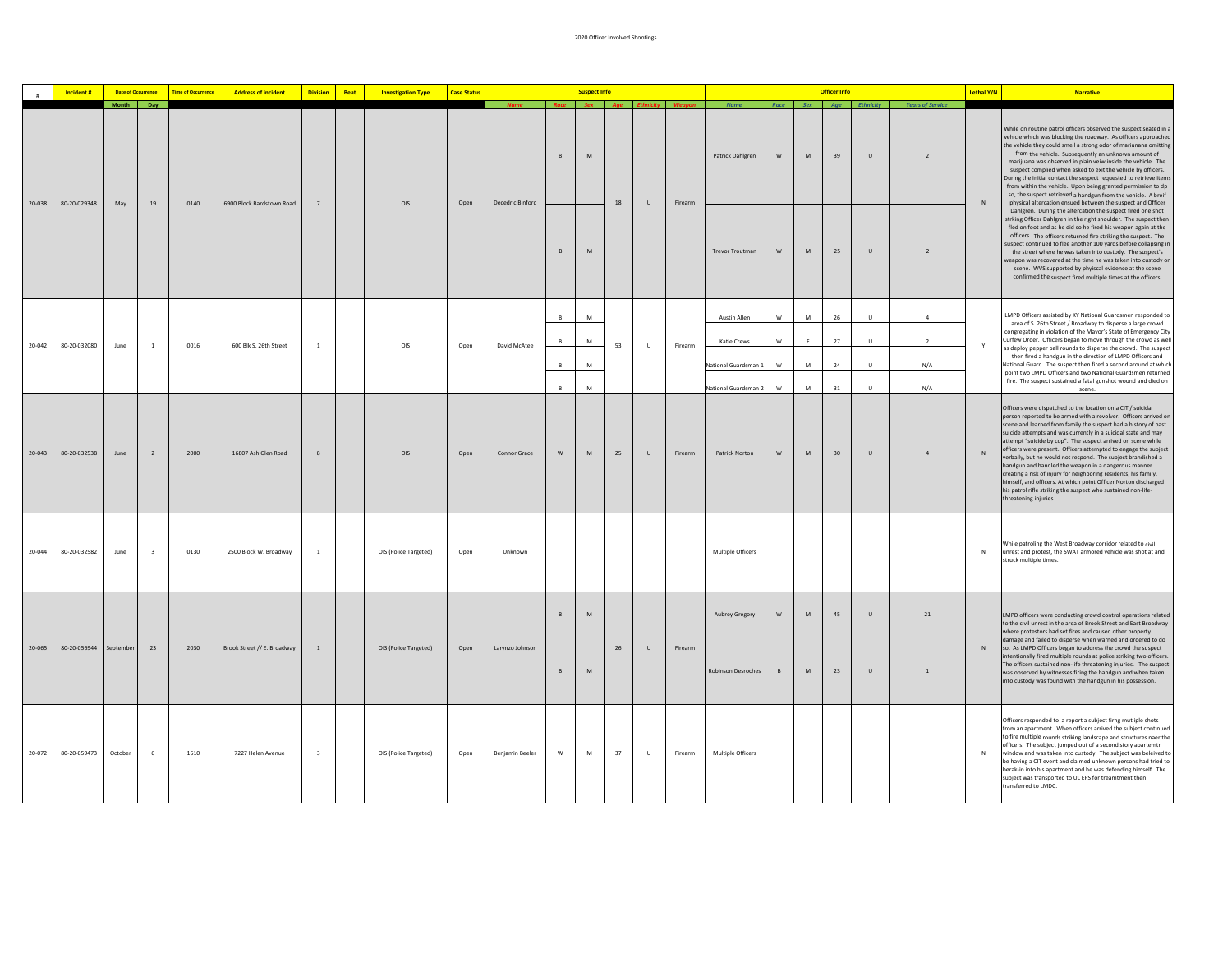|        | Incident #   | <b>Date of Occurrence</b> |                         | <b>Time of Occurrence</b> | <b>Address of incident</b>  | <b>Division</b> | Beat | <b>Investigation Type</b> | <b>Case Status</b> |                  |              | <b>Suspect Info</b>                                                                                        |    |                        |         |                        |               |                                                                                                            | <b>Officer Info</b> |                        |                         | Lethal Y/N | <b>Narrative</b>                                                                                                                                                                                                                                                                                                                                                                                                                                                                                                                                                                                                                                                                                                                                                  |
|--------|--------------|---------------------------|-------------------------|---------------------------|-----------------------------|-----------------|------|---------------------------|--------------------|------------------|--------------|------------------------------------------------------------------------------------------------------------|----|------------------------|---------|------------------------|---------------|------------------------------------------------------------------------------------------------------------|---------------------|------------------------|-------------------------|------------|-------------------------------------------------------------------------------------------------------------------------------------------------------------------------------------------------------------------------------------------------------------------------------------------------------------------------------------------------------------------------------------------------------------------------------------------------------------------------------------------------------------------------------------------------------------------------------------------------------------------------------------------------------------------------------------------------------------------------------------------------------------------|
|        |              | Month Day                 |                         |                           |                             |                 |      |                           |                    |                  |              |                                                                                                            |    | Race Sex Age Ethnicity |         | Name                   |               |                                                                                                            |                     | Race Sex Age Ethnicity | <b>Years of Service</b> |            |                                                                                                                                                                                                                                                                                                                                                                                                                                                                                                                                                                                                                                                                                                                                                                   |
| 20-038 | 80-20-029348 | May                       | 19                      | 0140                      | 6900 Block Bardstown Road   | 7               |      | OIS                       | Open               | Decedric Binford | $\mathsf{B}$ | $\mathsf{M}% _{T}=\mathsf{M}_{T}\!\left( a,b\right) ,\ \mathsf{M}_{T}=\mathsf{M}_{T}\!\left( a,b\right) ,$ | 18 | $\cup$                 | Firearm | Patrick Dahlgren       | ${\sf W}$     | $\mathsf{M}% _{T}=\mathsf{M}_{T}\!\left( a,b\right) ,\ \mathsf{M}_{T}=\mathsf{M}_{T}\!\left( a,b\right) ,$ | 39                  | $\sf U$                |                         | $\,$ N     | While on routine patrol officers observed the suspect seated in a<br>vehicle which was blocking the roadway. As officers approached<br>the vehicle they could smell a strong odor of mariunana omitting<br>from the vehicle. Subsequently an unknown amount of<br>marijuana was observed in plain veiw inside the vehicle. The<br>suspect complied when asked to exit the vehicle by officers.<br>During the initial contact the suspect requested to retrieve items<br>from within the vehicle. Upon being granted permission to dp<br>so, the suspect retrieved a handgun from the vehicle. A breif<br>physical altercation ensued between the suspect and Officer                                                                                              |
|        |              |                           |                         |                           |                             |                 |      |                           |                    |                  | B            | M                                                                                                          |    |                        |         | <b>Trevor Troutman</b> | ${\sf W}$     | $\mathsf{M}% _{T}=\mathsf{M}_{T}\!\left( a,b\right) ,\ \mathsf{M}_{T}=\mathsf{M}_{T}\!\left( a,b\right) ,$ | 25                  | $\cup$                 | $\overline{2}$          |            | Dahlgren. During the altercation the suspect fired one shot<br>strking Officer Dahlgren in the right shoulder. The suspect then<br>fled on foot and as he did so he fired his weapon again at the<br>officers. The officers returned fire striking the suspect. The<br>suspect continued to flee another 100 yards before collapsing in<br>the street where he was taken into custody. The suspect's<br>veapon was recovered at the time he was taken into custody on<br>scene. WVS supported by phyiscal evidence at the scene<br>confirmed the suspect fired multiple times at the officers.                                                                                                                                                                    |
|        |              |                           |                         |                           |                             |                 |      |                           |                    |                  | $\mathsf{R}$ | ${\sf M}$                                                                                                  |    |                        |         | Austin Allen           | W             | M                                                                                                          | ${\bf 26}$          | $\cup$                 | $\mathbf{A}$            |            | LMPD Officers assisted by KY National Guardsmen responded to                                                                                                                                                                                                                                                                                                                                                                                                                                                                                                                                                                                                                                                                                                      |
|        |              |                           |                         |                           |                             |                 |      |                           |                    |                  | B            | M                                                                                                          |    |                        |         | Katie Crews            | W             | F.                                                                                                         | 27                  | $\cup$                 | $\overline{2}$          |            | area of S. 26th Street / Broadway to disperse a large crowd<br>congregating in violation of the Mayor's State of Emergency City<br>Curfew Order. Officers began to move through the crowd as well                                                                                                                                                                                                                                                                                                                                                                                                                                                                                                                                                                 |
| 20-042 | 80-20-032080 | June                      | <sup>1</sup>            | 0016                      | 600 Blk S. 26th Street      | $\overline{1}$  |      | OIS                       | Open               | David McAtee     | B            | ${\sf M}$                                                                                                  | 53 | $\cup$                 | Firearm | National Guardsman 1   | ${\sf W}$     | ${\sf M}$                                                                                                  | 24                  | $\cup$                 | N/A                     | Y          | as deploy pepper ball rounds to disperse the crowd. The suspect<br>then fired a handgun in the direction of LMPD Officers and<br>National Guard. The suspect then fired a second around at which                                                                                                                                                                                                                                                                                                                                                                                                                                                                                                                                                                  |
|        |              |                           |                         |                           |                             |                 |      |                           |                    |                  | B            | ${\sf M}$                                                                                                  |    |                        |         | National Guardsman 2   | W             | M                                                                                                          | 31                  | <b>U</b>               | N/A                     |            | point two LMPD Officers and two National Guardsmen returned<br>fire. The suspect sustained a fatal gunshot wound and died on<br>scene.                                                                                                                                                                                                                                                                                                                                                                                                                                                                                                                                                                                                                            |
| 20-043 | 80-20-032538 | June                      | $\overline{2}$          | 2000                      | 16807 Ash Glen Road         | $\,$ 8 $\,$     |      | OIS                       | Open               | Connor Grace     | ${\sf W}$    | $\mathsf{M}% _{T}=\mathsf{M}_{T}\!\left( a,b\right) ,\ \mathsf{M}_{T}=\mathsf{M}_{T}\!\left( a,b\right) ,$ | 25 | $\cup$                 | Firearm | Patrick Norton         | ${\sf W}$     | ${\sf M}$                                                                                                  | 30                  | $\sf U$                | $\overline{4}$          | $\,$ N     | Officers were dispatched to the location on a CIT / suicidal<br>person reported to be armed with a revolver. Officers arrived on<br>scene and learned from family the suspect had a history of past<br>suicide attempts and was currently in a suicidal state and may<br>attempt "suicide by cop". The suspect arrived on scene while<br>officers were present. Officers attempted to engage the subject<br>verbally, but he would not respond. The subject brandished a<br>handgun and handled the weapon in a dangerous manner<br>creating a risk of injury for neighboring residents, his family,<br>nimself, and officers. At which point Officer Norton discharged<br>his patrol rifle striking the suspect who sustained non-life-<br>threatening injuries. |
| 20-044 | 80-20-032582 | June                      | $\overline{\mathbf{3}}$ | 0130                      | 2500 Block W. Broadway      | $\overline{1}$  |      | OIS (Police Targeted)     | Open               | Unknown          |              |                                                                                                            |    |                        |         | Multiple Officers      |               |                                                                                                            |                     |                        |                         | N          | While patroling the West Broadway corridor related to civil<br>unrest and protest, the SWAT armored vehicle was shot at and<br>struck multiple times.                                                                                                                                                                                                                                                                                                                                                                                                                                                                                                                                                                                                             |
|        |              |                           |                         |                           |                             |                 |      |                           |                    |                  | $\mathsf{R}$ | $\mathsf{M}% _{T}=\mathsf{M}_{T}\!\left( a,b\right) ,\ \mathsf{M}_{T}=\mathsf{M}_{T}\!\left( a,b\right) ,$ |    |                        |         | Aubrey Gregory         | ${\mathsf W}$ | ${\sf M}$                                                                                                  | 45                  | $\cup$                 | 21                      |            | LMPD officers were conducting crowd control operations related<br>to the civil unrest in the area of Brook Street and East Broadway<br>where protestors had set fires and caused other property                                                                                                                                                                                                                                                                                                                                                                                                                                                                                                                                                                   |
| 20-065 | 80-20-056944 | September                 | 23                      | 2030                      | Brook Street // E. Broadway | $\overline{1}$  |      | OIS (Police Targeted)     | Open               | Larynzo Johnson  | $\mathbb{R}$ | M                                                                                                          | 26 | $\cup$                 | Firearm | Robinson Desroches     | B             | $\mathsf{M}% _{T}=\mathsf{M}_{T}\!\left( a,b\right) ,\ \mathsf{M}_{T}=\mathsf{M}_{T}\!\left( a,b\right) ,$ | 23                  | $\cup$                 | $\overline{1}$          | N          | damage and failed to disperse when warned and ordered to do<br>so. As LMPD Officers began to address the crowd the suspect<br>intentionally fired multiple rounds at police striking two officers.<br>The officers sustained non-life threatening injuries. The suspect<br>was observed by witnesses firing the handgun and when taken<br>into custody was found with the handgun in his possession.                                                                                                                                                                                                                                                                                                                                                              |
| 20-072 | 80-20-059473 | October                   | 6                       | 1610                      | 7227 Helen Avenue           | $\mathbf{R}$    |      | OIS (Police Targeted)     | Open               | Benjamin Beeler  | W            | ${\sf M}$                                                                                                  | 37 | $\cup$                 | Firearm | Multiple Officers      |               |                                                                                                            |                     |                        |                         | $\,$ N     | Officers responded to a report a subject firng mutliple shots<br>from an apartment. When officers arrived the subject continued<br>to fire multiple rounds striking landscape and structures naer the<br>officers. The subject jumped out of a second story apartemtn<br>window and was taken into custody. The subject was beleived to<br>be having a CIT event and claimed unknown persons had tried to<br>berak-in into his apartment and he was defending himself. The<br>subject was transported to UL EPS for treamtment then<br>transferred to LMDC.                                                                                                                                                                                                       |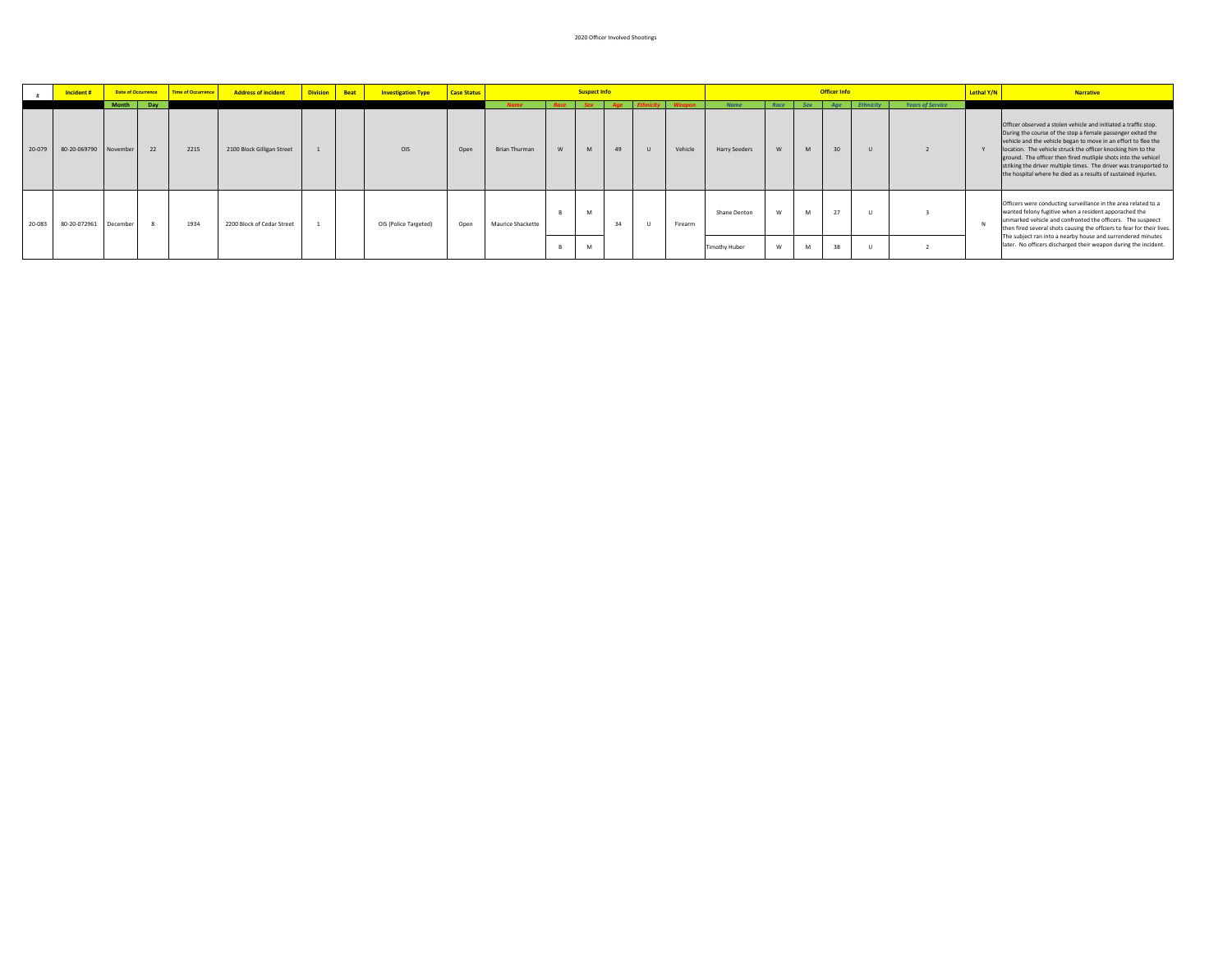|        | Incident#    |                          | <b>Date of Occurrence</b> | Time of Occurrence | <b>Address of incident</b> | <b>Division</b> | Beat | <b>Investigation Type</b> | <b>Case Status</b> |                              |           | <b>Suspect Info</b> |           |              |                          |                                     |           |                 | <b>Officer Info</b> |               |                         | Lethal Y/N | <b>Narrative</b>                                                                                                                                                                                                                                                                                                                                                                                                                                                          |
|--------|--------------|--------------------------|---------------------------|--------------------|----------------------------|-----------------|------|---------------------------|--------------------|------------------------------|-----------|---------------------|-----------|--------------|--------------------------|-------------------------------------|-----------|-----------------|---------------------|---------------|-------------------------|------------|---------------------------------------------------------------------------------------------------------------------------------------------------------------------------------------------------------------------------------------------------------------------------------------------------------------------------------------------------------------------------------------------------------------------------------------------------------------------------|
| 20-079 | 80-20-069790 | <b>Month</b><br>November | Day<br>22                 | 2215               | 2100 Block Gilligan Street |                 |      | OIS                       | Open               | <b>Name</b><br>Brian Thurman | Race<br>W | <b>Sex</b><br>M     | Age<br>49 | $\mathbf{H}$ | <b>Weapon</b><br>Vehicle | <b>Name</b><br><b>Harry Seeders</b> | Race<br>W | <b>Sex</b><br>M | 30                  | Age Ethnicity | <b>Years of Service</b> |            | Officer observed a stolen vehicle and initiated a traffic stop.<br>During the course of the stop a female passenger exited the<br>vehicle and the vehicle began to move in an effort to flee the<br>location. The vehicle struck the officer knocking him to the<br>ground. The officer then fired mutliple shots into the vehicel<br>striking the driver multiple times. The driver was transported to<br>the hospital where he died as a results of sustained injuries. |
| 20-083 | 80-20-072961 | December                 |                           | 1934               | 2200 Block of Cedar Street |                 |      | OIS (Police Targeted)     | Open               | Maurice Shackette            |           | M                   |           |              | Firearm                  | Shane Denton                        | W         | M               | 27                  |               |                         |            | Officers were conducting surveillance in the area related to a<br>wanted felony fugitive when a resident apporached the<br>unmarked vehicle and confronted the officers. The suspeect<br>then fired several shots causing the offciers to fear for their lives.<br>The subject ran into a nearby house and surrendered minutes                                                                                                                                            |
|        |              |                          |                           |                    |                            |                 |      |                           |                    |                              |           | M                   |           |              |                          | <b>Timothy Huber</b>                | W         | M               | 38                  |               |                         |            | later. No officers discharged their weapon during the incident.                                                                                                                                                                                                                                                                                                                                                                                                           |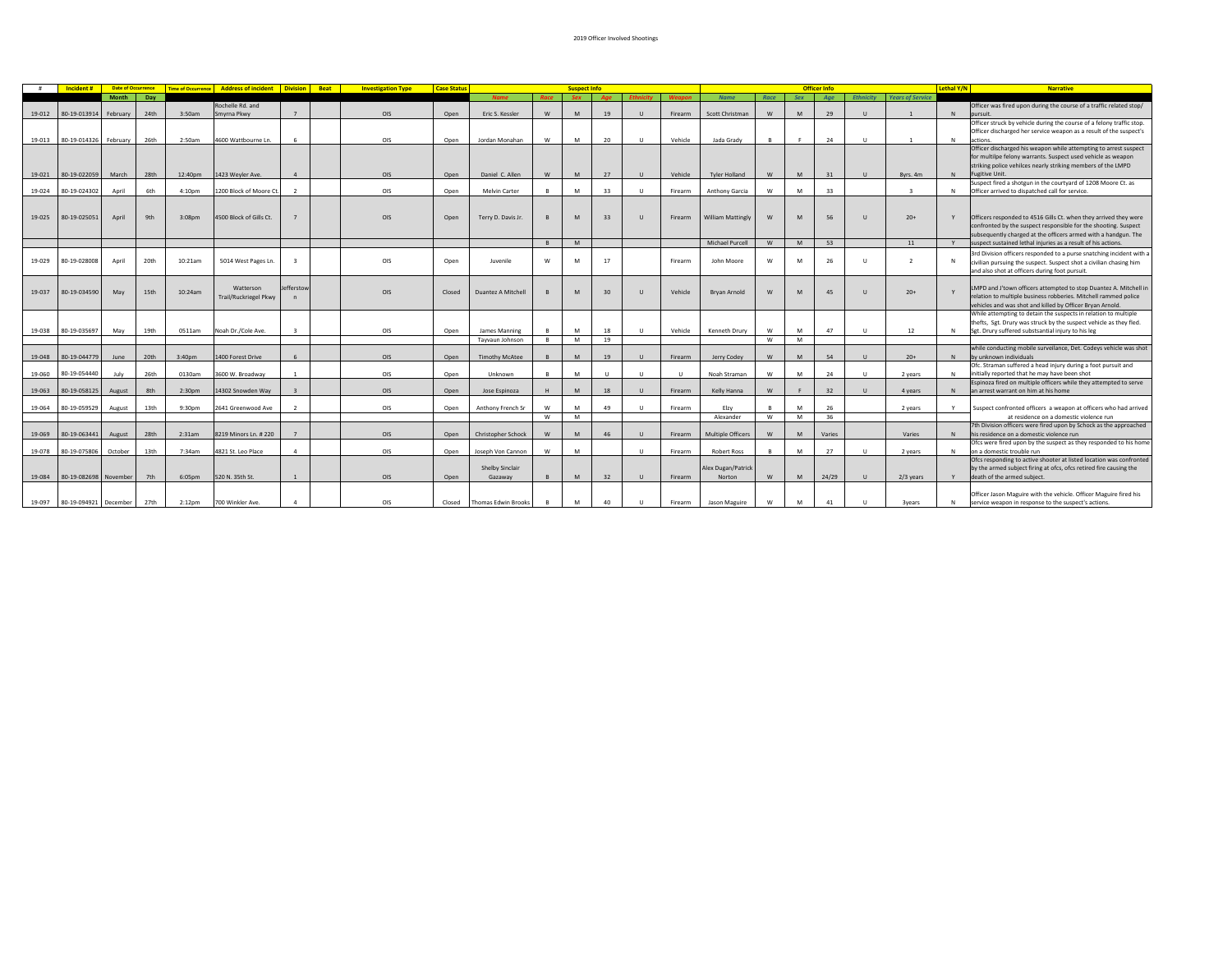|        | Incident#             | <b>Date of Occurrence</b> |      | <b>Time of Occurrence</b> | <b>Address of incident Division Beat</b> |                         | <b>Investigation Type</b> | <b>Case Status</b> |                            |          | <b>Suspect Info</b> |        |              |         |                          |          |     | <b>Officer Info</b> |                  |                         | Lethal Y/N  | <b>Narrative</b>                                                                                                                |
|--------|-----------------------|---------------------------|------|---------------------------|------------------------------------------|-------------------------|---------------------------|--------------------|----------------------------|----------|---------------------|--------|--------------|---------|--------------------------|----------|-----|---------------------|------------------|-------------------------|-------------|---------------------------------------------------------------------------------------------------------------------------------|
|        |                       | <b>Month</b>              | Day  |                           |                                          |                         |                           |                    | <b>Name</b>                |          | <b>Sex</b>          |        |              |         | <b>Name</b>              | Race     | Sex | Age                 | <b>Ethnicity</b> | <b>Years of Service</b> |             |                                                                                                                                 |
|        |                       |                           |      |                           | Rochelle Rd, and                         |                         |                           |                    |                            |          |                     |        |              |         |                          |          |     |                     |                  |                         |             | Officer was fired upon during the course of a traffic related stop/                                                             |
| 19-012 | 80-19-013914          | February                  | 24th | 3:50am                    | Smyrna Pkwy                              | $7^{\circ}$             | OIS                       | Open               | Eric S. Kessler            | W        | M                   | 19     | $\cup$       | Firearm | Scott Christman          | W        | M   | 29                  | $\mathbf{U}$     |                         | N           | pursuit.                                                                                                                        |
|        |                       |                           |      |                           |                                          |                         |                           |                    |                            |          |                     |        |              |         |                          |          |     |                     |                  |                         |             | Officer struck by vehicle during the course of a felony traffic stop.                                                           |
|        |                       |                           |      |                           |                                          |                         |                           |                    |                            |          |                     |        |              |         |                          |          |     |                     |                  |                         |             | Officer discharged her service weapon as a result of the suspect's                                                              |
| 19-013 | 80-19-014326          | February                  | 26th | 2:50am                    | 4600 Wattbourne Ln.                      | 6                       | OIS                       | Open               | Jordan Monahan             | W        | M                   | 20     | $\cup$       | Vehicle | Jada Grady               |          |     | 24                  | $\cup$           | $\mathbf{1}$            | N           | actions.                                                                                                                        |
|        |                       |                           |      |                           |                                          |                         |                           |                    |                            |          |                     |        |              |         |                          |          |     |                     |                  |                         |             | Officer discharged his weapon while attempting to arrest suspect                                                                |
|        |                       |                           |      |                           |                                          |                         |                           |                    |                            |          |                     |        |              |         |                          |          |     |                     |                  |                         |             | for multilpe felony warrants. Suspect used vehicle as weapon                                                                    |
|        |                       |                           |      |                           |                                          |                         |                           |                    |                            |          |                     |        |              |         |                          |          |     |                     |                  |                         |             | striking police vehilces nearly striking members of the LMPD                                                                    |
| 19-021 | 80-19-022059          | March                     | 28th | 12:40pm                   | 1423 Weyler Ave.                         | $\overline{a}$          | OIS                       | Open               | Daniel C. Allen            | W        | M                   | 27     | $\cup$       | Vehicle | <b>Tyler Holland</b>     | W        | M   | 31                  | $\mathbf{U}$     | 8vrs. 4m                | N           | Fugitive Unit.                                                                                                                  |
|        |                       |                           |      |                           |                                          |                         |                           |                    |                            |          |                     |        |              |         |                          |          |     |                     |                  |                         |             | Suspect fired a shotgun in the courtyard of 1208 Moore Ct. as                                                                   |
| 19-024 | 80-19-024302          | April                     | 6th  | 4:10pm                    | 1200 Block of Moore Ct.                  | $\overline{2}$          | OIS                       | Open               | <b>Melvin Carter</b>       | В.       | M                   | 33     | $\cup$       | Firearm | Anthony Garcia           | W        | M   | 33                  |                  | $\overline{3}$          |             | Officer arrived to dispatched call for service.                                                                                 |
|        |                       |                           |      |                           |                                          |                         |                           |                    |                            |          |                     |        |              |         |                          |          |     |                     |                  |                         |             |                                                                                                                                 |
|        |                       |                           |      |                           |                                          |                         |                           |                    |                            |          |                     |        |              |         |                          |          |     |                     |                  |                         |             |                                                                                                                                 |
| 19-025 | 80-19-025051          | April                     | 9th  | 3:08pm                    | 4500 Block of Gills Ct.                  |                         | OIS                       | Open               | Terry D. Davis Jr.         |          | M                   | 33     | $\mathbf{U}$ | Firearm | <b>William Mattingly</b> | W        | M   | 56                  | $\mathbf{U}$     | $20+$                   | Y           | Officers responded to 4516 Gills Ct. when they arrived they were                                                                |
|        |                       |                           |      |                           |                                          |                         |                           |                    |                            |          |                     |        |              |         |                          |          |     |                     |                  |                         |             | confronted by the suspect responsible for the shooting. Suspect                                                                 |
|        |                       |                           |      |                           |                                          |                         |                           |                    |                            |          |                     |        |              |         |                          |          |     |                     |                  |                         |             |                                                                                                                                 |
|        |                       |                           |      |                           |                                          |                         |                           |                    |                            |          | M                   |        |              |         | Michael Purcell          | W        | M   | 53                  |                  | 11                      |             | subsequently charged at the officers armed with a handgun. The<br>suspect sustained lethal injuries as a result of his actions. |
|        |                       |                           |      |                           |                                          |                         |                           |                    |                            | <b>B</b> |                     |        |              |         |                          |          |     |                     |                  |                         |             |                                                                                                                                 |
|        |                       |                           |      |                           |                                          |                         |                           |                    |                            |          |                     |        |              |         |                          |          |     |                     |                  |                         |             | 3rd Division officers responded to a purse snatching incident with a                                                            |
| 19-029 | 80-19-028008          | April                     | 20th | 10:21am                   | 5014 West Pages Ln.                      | $\overline{\mathbf{3}}$ | OIS                       | Open               | Juvenile                   | W        | M                   | 17     |              | Firearm | John Moore               | W        | M   | 26                  | $\mathbf{U}$     | $\overline{2}$          | N           | civilian pursuing the suspect. Suspect shot a civilian chasing him                                                              |
|        |                       |                           |      |                           |                                          |                         |                           |                    |                            |          |                     |        |              |         |                          |          |     |                     |                  |                         |             | and also shot at officers during foot pursuit.                                                                                  |
|        |                       |                           |      |                           |                                          |                         |                           |                    |                            |          |                     |        |              |         |                          |          |     |                     |                  |                         |             |                                                                                                                                 |
| 19-037 | 80-19-034590          | May                       | 15th | 10:24am                   | Watterson                                | Jefferstow              | OIS                       | Closed             | Duantez A Mitchell         |          | M                   | 30     | $\mathbf{u}$ | Vehicle | <b>Brvan Arnold</b>      | W        | M   | 45                  | $\mathbf{U}$     | $20+$                   |             | LMPD and J'town officers attempted to stop Duantez A. Mitchell in                                                               |
|        |                       |                           |      |                           | <b>Trail/Ruckriegel Pkwy</b>             |                         |                           |                    |                            |          |                     |        |              |         |                          |          |     |                     |                  |                         |             | relation to multiple business robberies. Mitchell rammed police                                                                 |
|        |                       |                           |      |                           |                                          |                         |                           |                    |                            |          |                     |        |              |         |                          |          |     |                     |                  |                         |             | vehicles and was shot and killed by Officer Bryan Arnold.                                                                       |
|        |                       |                           |      |                           |                                          |                         |                           |                    |                            |          |                     |        |              |         |                          |          |     |                     |                  |                         |             | While attempting to detain the suspects in relation to multiple                                                                 |
|        |                       |                           |      |                           |                                          |                         |                           |                    |                            |          |                     |        |              |         |                          |          |     |                     |                  |                         |             | thefts, Sgt. Drury was struck by the suspect vehicle as they fled.                                                              |
| 19-038 | 80-19-035697          | May                       | 19th | 0511am                    | Noah Dr./Cole Ave.                       | $\overline{z}$          | OIS                       | Open               | James Manning              | <b>B</b> | M                   | 18     | $\cup$       | Vehicle | Kenneth Drury            | W        | M   | 47                  | $\cup$           | 12                      | N           | Sgt. Drury suffered substsantial injury to his leg                                                                              |
|        |                       |                           |      |                           |                                          |                         |                           |                    | Tayyaun Johnson            | <b>B</b> | M                   | 19     |              |         |                          | <b>W</b> | M   |                     |                  |                         |             |                                                                                                                                 |
|        |                       |                           |      |                           |                                          |                         |                           |                    |                            |          |                     |        |              |         |                          |          |     |                     |                  |                         |             | while conducting mobile surveilance, Det. Codeys vehicle was shot                                                               |
| 19-048 | 80-19-044779          | June                      | 20th | 3:40 <sub>0</sub>         | 1400 Forest Drive                        | 6                       | OIS                       | Open               | <b>Timothy McAtee</b>      |          | M                   | 19     | $\mathbf{U}$ | Firearm | Jerry Codey              | W        | M   | 54                  | $\mathbf{U}$     | $20+$                   | N           | by unknown individuals                                                                                                          |
|        |                       |                           |      |                           |                                          |                         |                           |                    |                            |          |                     |        |              |         |                          |          |     |                     |                  |                         |             | Ofc. Straman suffered a head injury during a foot pursuit and                                                                   |
| 19-060 | 80-19-054440          | July                      | 26th | 0130am                    | 3600 W. Broadway                         | $\overline{1}$          | OIS                       | Open               | Unknown                    | <b>B</b> | M                   | $\cup$ | $\cup$       |         | Noah Straman             | w        | M   | 24                  | $\cup$           | 2 years                 | $\mathbb N$ | initially reported that he may have been shot                                                                                   |
|        |                       |                           |      |                           |                                          |                         |                           |                    |                            |          |                     |        |              |         |                          |          |     |                     |                  |                         |             | Espinoza fired on multiple officers while they attempted to serve                                                               |
| 19-063 | 80-19-058125          | August                    | 8th  | 2:30pm                    | 14302 Snowden Way                        | $\overline{3}$          | OIS                       | Open               | Jose Espinoza              | H        | M                   | 18     | $\cup$       | Firearm | Kelly Hanna              | W        | E   | 32                  | $\mathbf{U}$     | 4 years                 | N           | an arrest warrant on him at his home                                                                                            |
|        |                       |                           |      |                           |                                          |                         |                           |                    |                            |          |                     |        |              |         |                          |          |     |                     |                  |                         |             |                                                                                                                                 |
| 19-064 | 80-19-059529          | August                    | 13th | 9:30pm                    | 2641 Greenwood Ave                       | $\overline{z}$          | OIS                       | Open               | Anthony French Sr          | W        | M                   | 49     | $\cup$       | Firearm | Elzv                     |          | M   | 26                  |                  | 2 years                 |             | Suspect confronted officers a weapon at officers who had arrived                                                                |
|        |                       |                           |      |                           |                                          |                         |                           |                    |                            | W        | M                   |        |              |         | Alexander                | <b>W</b> | M   | 36                  |                  |                         |             | at residence on a domestic violence run                                                                                         |
|        |                       |                           |      |                           |                                          |                         |                           |                    |                            |          |                     |        |              |         |                          |          |     |                     |                  |                         |             | 7th Division officers were fired upon by Schock as the approached                                                               |
| 19-069 | 80-19-063441          | August                    | 28th | 2:31am                    | 8219 Minors Ln. # 220                    |                         | OIS                       | Open               | <b>Christopher Schock</b>  | W        | M                   | 46     | $\mathbf{u}$ | Firearm | <b>Multiple Officers</b> | <b>W</b> | M   | Varies              |                  | Varies                  | N           | his residence on a domestic violence run                                                                                        |
|        |                       |                           |      |                           |                                          |                         |                           |                    |                            |          |                     |        |              |         |                          |          |     |                     |                  |                         |             | Ofcs were fired upon by the suspect as they responded to his home                                                               |
| 19-078 | 80-19-075806          | October                   | 13th | 7:34am                    | 4821 St. Leo Place                       | $\overline{4}$          | OIS                       | Open               | Joseph Von Cannon          | W        | M                   |        | $\cup$       | Firearm | <b>Robert Ross</b>       |          | M   | 27                  | U                | 2 years                 | $\mathbb N$ | on a domestic trouble run                                                                                                       |
|        |                       |                           |      |                           |                                          |                         |                           |                    |                            |          |                     |        |              |         |                          |          |     |                     |                  |                         |             | Ofcs responding to active shooter at listed location was confronted                                                             |
|        |                       |                           |      |                           |                                          |                         |                           |                    | <b>Shelby Sinclair</b>     |          |                     |        |              |         | Alex Dugan/Patrick       |          |     |                     |                  |                         |             | by the armed subject firing at ofcs, ofcs retired fire causing the                                                              |
| 19-084 | 80-19-082698          | November                  | 7th  | 6:05pm                    | 520 N. 35th St.                          | <sup>1</sup>            | OIS                       | Open               | Gazaway                    | B        | M                   | 32     | $\cup$       | Firearm | Norton                   | W        | M   | 24/29               | $\cup$           | 2/3 years               |             | death of the armed subject.                                                                                                     |
|        |                       |                           |      |                           |                                          |                         |                           |                    |                            |          |                     |        |              |         |                          |          |     |                     |                  |                         |             |                                                                                                                                 |
|        |                       |                           |      |                           |                                          |                         |                           |                    |                            |          |                     |        |              |         |                          |          |     |                     |                  |                         |             | Officer Jason Maguire with the vehicle. Officer Maguire fired his                                                               |
| 19-097 | 80-19-094921 December |                           | 27th | $2:12$ pm                 | 700 Winkler Ave.                         | $\Lambda$               | OIS                       |                    | <b>Thomas Edwin Brooks</b> | B        | M                   | 40     | $\cup$       |         | Jason Maguire            | W        | M   | 41                  | $\mathbf{U}$     |                         | N           | service weapon in response to the suspect's actions.                                                                            |
|        |                       |                           |      |                           |                                          |                         |                           | Closed             |                            |          |                     |        |              | Firearm |                          |          |     |                     |                  | <b>3vears</b>           |             |                                                                                                                                 |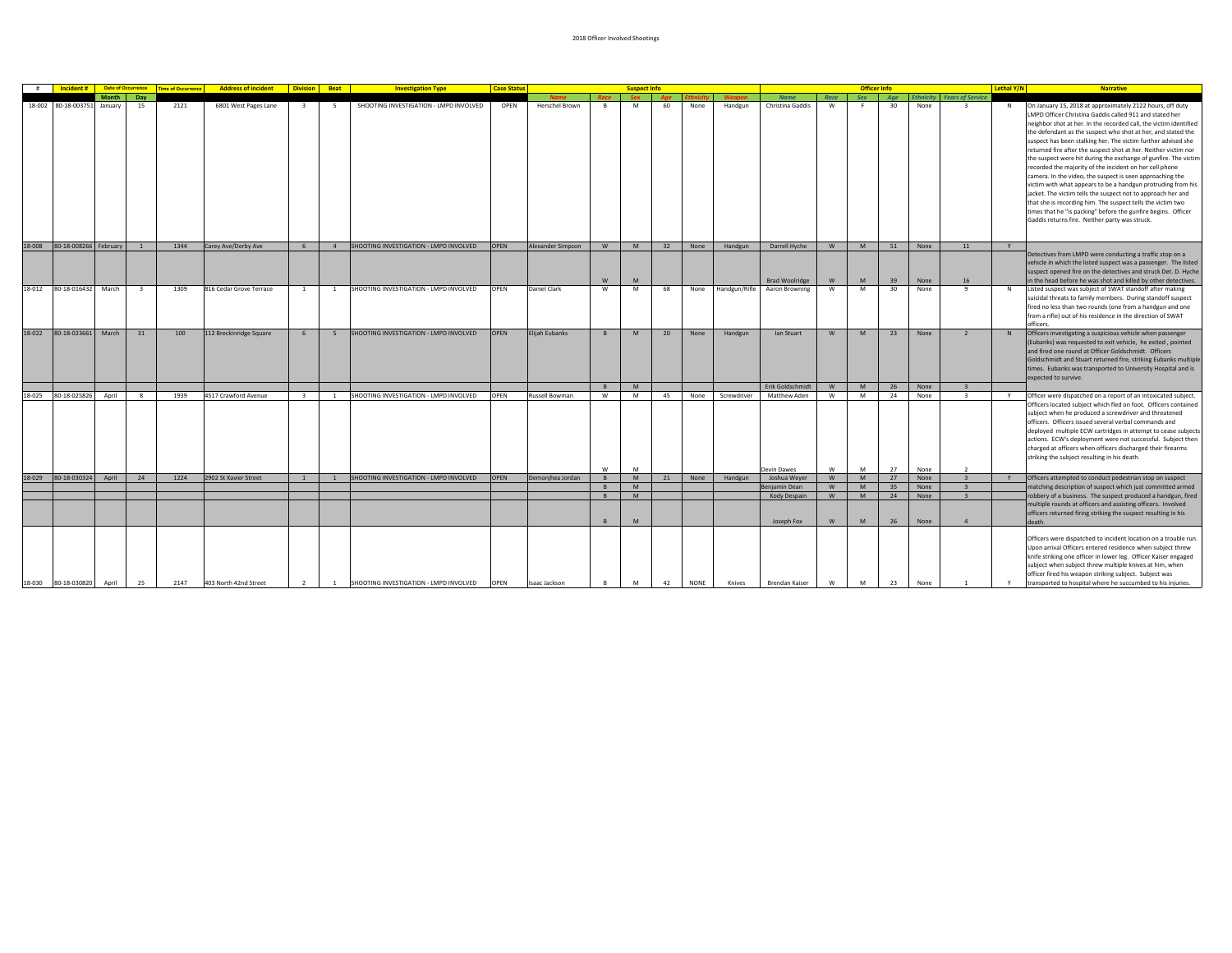| #      | Incident#               | <b>Date of Occurrence</b> |                         | <b>Time of Occurrence</b> | <b>Address of incident Division Beat</b> |                         |                | <b>Investigation Type</b>                | <b>Case Status</b> |                               |           | <b>Suspect Info</b> |           |             |                          |                                         |           |               | <b>Officer Info</b> |              |                                                     | Lethal Y/N | <b>Narrative</b>                                                                                                                                                                                                                                                                                                                                                                                                                                                                                                                                                                            |
|--------|-------------------------|---------------------------|-------------------------|---------------------------|------------------------------------------|-------------------------|----------------|------------------------------------------|--------------------|-------------------------------|-----------|---------------------|-----------|-------------|--------------------------|-----------------------------------------|-----------|---------------|---------------------|--------------|-----------------------------------------------------|------------|---------------------------------------------------------------------------------------------------------------------------------------------------------------------------------------------------------------------------------------------------------------------------------------------------------------------------------------------------------------------------------------------------------------------------------------------------------------------------------------------------------------------------------------------------------------------------------------------|
|        | 18-002 80-18-003751     | Month<br>January          | Day<br>15               | 2121                      | 6801 West Pages Lane                     |                         | -5             | SHOOTING INVESTIGATION - LMPD INVOLVED   | OPEN               | <b>Name</b><br>Herschel Brown | Race<br>B | Sex<br>M            | Age<br>60 | None        | <b>Weanon</b><br>Handgun | <b>Name</b><br>Christina Gaddis         | Race<br>W | Sex           | Age<br>30           | None         | <b>Ethnicity Years of Service</b><br>$\overline{z}$ | N          | On January 15, 2018 at approximately 2122 hours, off duty<br>LMPD Officer Christina Gaddis called 911 and stated her<br>neighbor shot at her. In the recorded call, the victim identified<br>the defendant as the suspect who shot at her, and stated the                                                                                                                                                                                                                                                                                                                                   |
|        |                         |                           |                         |                           |                                          |                         |                |                                          |                    |                               |           |                     |           |             |                          |                                         |           |               |                     |              |                                                     |            | suspect has been stalking her. The victim further advised she<br>returned fire after the suspect shot at her. Neither victim nor<br>the suspect were hit during the exchange of gunfire. The victim<br>recorded the majority of the incident on her cell phone<br>camera. In the video, the suspect is seen approaching the<br>victim with what appears to be a handgun protruding from his<br>jacket. The victim tells the suspect not to approach her and<br>that she is recording him. The suspect tells the victim two<br>times that he "is packing" before the gunfire begins. Officer |
| 18-008 | 80-18-008266 February 1 |                           |                         | 1344                      | Carey Ave/Derby Ave                      | 6                       |                | 4 SHOOTING INVESTIGATION - LMPD INVOLVED | OPEN               | Alexander Simpson             | <b>W</b>  | M                   |           | 32 None     | Handgun                  | Darrell Hyche                           | <b>W</b>  | M             | 51                  | None         | 11                                                  | Y          | Gaddis returns fire. Neither party was struck.                                                                                                                                                                                                                                                                                                                                                                                                                                                                                                                                              |
|        |                         |                           |                         |                           |                                          |                         |                |                                          |                    |                               |           |                     |           |             |                          |                                         |           |               |                     |              |                                                     |            | Detectives from LMPD were conducting a traffic stop on a<br>vehicle in which the listed suspect was a passenger. The listed<br>suspect opened fire on the detectives and struck Det. D. Hyche                                                                                                                                                                                                                                                                                                                                                                                               |
| 18-012 | 80-18-016432            | March                     | $\overline{\mathbf{3}}$ | 1309                      | 816 Cedar Grove Terrace                  | <sup>1</sup>            | <sup>1</sup>   | SHOOTING INVESTIGATION - LMPD INVOLVED   | <b>OPEN</b>        | Daniel Clark                  | W<br>W    | M<br>M              | 68        | None        | Handgun/Rifle            | <b>Brad Woolridge</b><br>Aaron Browning | W<br>w    | <b>M</b><br>M | 39<br>30            | None<br>None | 16<br>9                                             | N          | in the head before he was shot and killed by other detectives.<br>Listed suspect was subject of SWAT standoff after making<br>suicidal threats to family members. During standoff suspect<br>fired no less than two rounds (one from a handgun and one<br>from a rifle) out of his residence in the direction of SWAT<br>officers.                                                                                                                                                                                                                                                          |
| 18-022 | 80-18-023661            | March                     | 31                      | 100                       | 112 Breckinridge Square                  | 6                       | 5              | SHOOTING INVESTIGATION - LMPD INVOLVED   | <b>OPEN</b>        | Elijah Eubanks                | B         | M                   | 20        | None        | Handgun                  | lan Stuart                              | W         | M             | 23                  | None         | $\overline{2}$                                      | N          | Officers investigating a suspicious vehicle when passenger<br>(Eubanks) was requested to exit vehicle, he exited, pointed<br>and fired one round at Officer Goldschmidt. Officers<br>Goldschmidt and Stuart returned fire, striking Eubanks multiple<br>times. Eubanks was transported to University Hospital and is<br>expected to survive.                                                                                                                                                                                                                                                |
|        |                         |                           |                         |                           |                                          |                         |                |                                          |                    |                               | B         | M                   |           |             |                          | Erik Goldschmidt                        | W         | M             | 26                  | None         |                                                     |            |                                                                                                                                                                                                                                                                                                                                                                                                                                                                                                                                                                                             |
| 18-025 | 80-18-025826            | April                     | $\mathbf{R}$            | 1939                      | 4517 Crawford Avenue                     | $\overline{\mathbf{3}}$ | $\overline{1}$ | SHOOTING INVESTIGATION - LMPD INVOLVED   | <b>OPEN</b>        | Russell Bowman                | W         | M                   | 45        | None        | Screwdriver              | Matthew Aden                            | w         | M             | 24                  | None         | $\overline{3}$                                      | Y          | Officer were dispatched on a report of an intoxicated subject.<br>Officers located subject which fled on foot. Officers contained<br>subject when he produced a screwdriver and threatened<br>officers. Officers issued several verbal commands and<br>deployed multiple ECW cartridges in attempt to cease subjects<br>actions. ECW's deployment were not successful. Subject then<br>charged at officers when officers discharged their firearms<br>striking the subject resulting in his death.                                                                                          |
|        |                         |                           |                         |                           |                                          | 1                       | <sup>1</sup>   |                                          |                    |                               | W         | M<br>M              |           |             |                          | Devin Dawes                             | w         | M<br>M        | 27                  | None         | $\overline{2}$<br>$\overline{3}$                    |            |                                                                                                                                                                                                                                                                                                                                                                                                                                                                                                                                                                                             |
| 18-029 | 80-18-030324            | April                     | 24                      | 1224                      | 2902 St Xavier Street                    |                         |                | SHOOTING INVESTIGATION - LMPD INVOLVED   | OPEN               | Demonjhea Jordan              | B<br>B    | M                   | 21        | None        | Handgun                  | Joshua Weyer<br>enjamin Dean            | W<br>W    | M             | 27<br>35            | None<br>None | $\overline{\mathbf{3}}$                             | Y          | Officers attempted to conduct pedestrian stop on suspect<br>matching description of suspect which just committed armed                                                                                                                                                                                                                                                                                                                                                                                                                                                                      |
|        |                         |                           |                         |                           |                                          |                         |                |                                          |                    |                               | B         | M                   |           |             |                          | Kody Despain                            | W         | M             | 24                  | None         | $\overline{3}$                                      |            | robbery of a business. The suspect produced a handgun, fired                                                                                                                                                                                                                                                                                                                                                                                                                                                                                                                                |
|        |                         |                           |                         |                           |                                          |                         |                |                                          |                    |                               | B         | M                   |           |             |                          | Joseph Fox                              | W         | <b>M</b>      | 26                  | None         | $\overline{a}$                                      |            | multiple rounds at officers and assisting officers. Involved<br>officers returned firing striking the suspect resulting in his<br>death.                                                                                                                                                                                                                                                                                                                                                                                                                                                    |
| 18-030 | 80-18-030820            | April                     | 25                      | 2147                      | 403 North 42nd Street                    | 2                       | <b>1</b>       | SHOOTING INVESTIGATION - LMPD INVOLVED   | OPEN               | Isaac Jackson                 | B         | M                   | 42        | <b>NONE</b> | Knives                   | Brendan Kaiser                          | W         | M             | 23                  | None         |                                                     |            | Officers were dispatched to incident location on a trouble run<br>Upon arrival Officers entered residence when subject threw<br>knife striking one officer in lower leg. Officer Kaiser engaged<br>subject when subject threw multiple knives at him, when<br>officer fired his weapon striking subject. Subject was<br>transported to hospital where he succumbed to his injuries.                                                                                                                                                                                                         |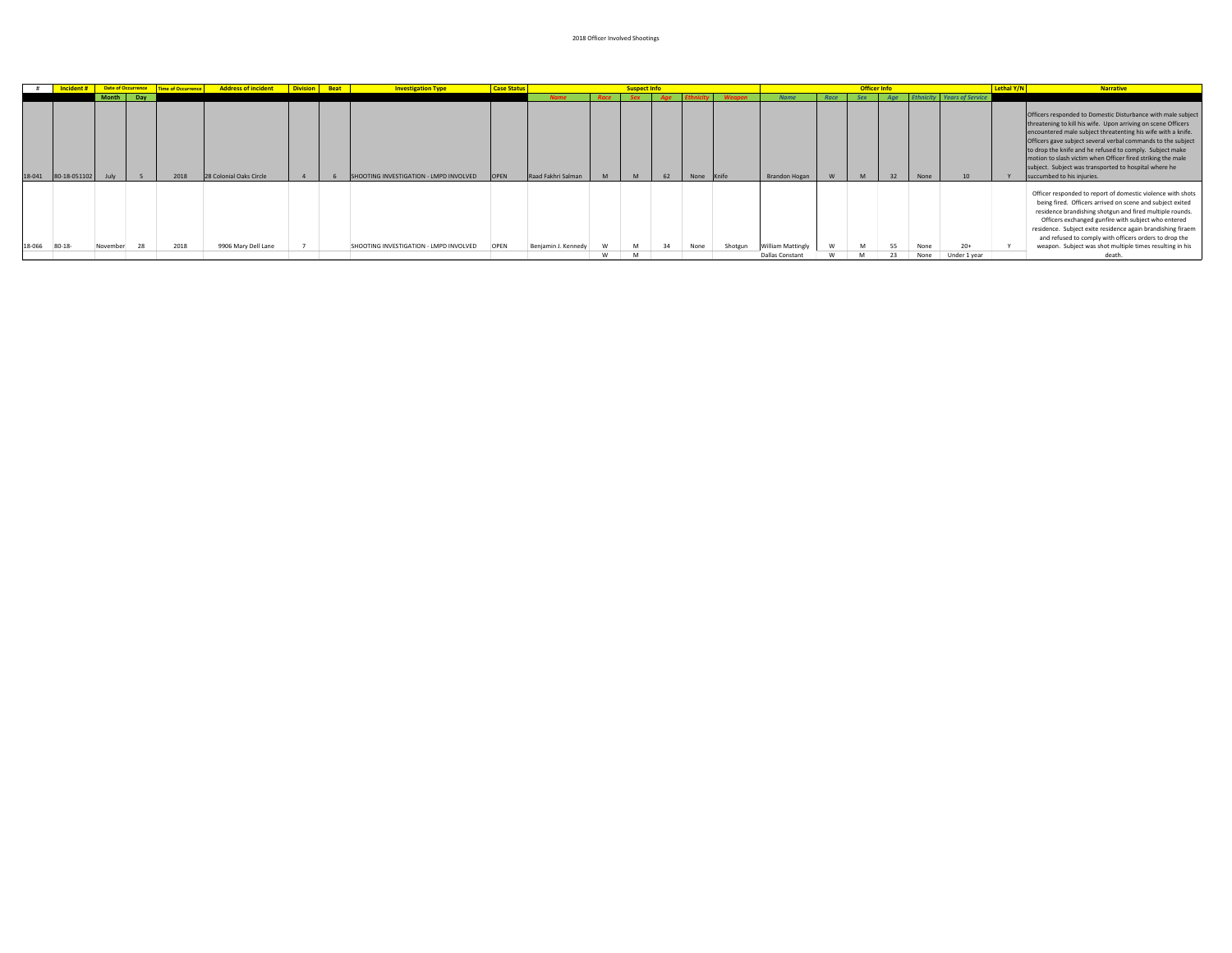|        | Incident#                | Date of Occurrence |     | Time of Occurrence | Address of incident   Division   Beat |  | <b>Investigation Type</b>              | <b>Case Status</b> |                     |   | uspect Info |    |            |               |                          |      |     |     |      |                                   | Lethal Y/N | <b>Narrative</b>                                                                                                                                                                                                                                                                                                                                                                                                                                                                |
|--------|--------------------------|--------------------|-----|--------------------|---------------------------------------|--|----------------------------------------|--------------------|---------------------|---|-------------|----|------------|---------------|--------------------------|------|-----|-----|------|-----------------------------------|------------|---------------------------------------------------------------------------------------------------------------------------------------------------------------------------------------------------------------------------------------------------------------------------------------------------------------------------------------------------------------------------------------------------------------------------------------------------------------------------------|
|        |                          | <b>Month</b>       | Dav |                    |                                       |  |                                        |                    | <b>Name</b>         |   | <b>Sex</b>  |    |            | <b>Weapon</b> | <b>Name</b>              | Race | Sex | Age |      | <b>Ethnicity Years of Service</b> |            |                                                                                                                                                                                                                                                                                                                                                                                                                                                                                 |
|        | 18-041 80-18-051102 July |                    |     | 2018               | 28 Colonial Oaks Circle               |  | SHOOTING INVESTIGATION - LMPD INVOLVED | <b>OPEN</b>        | Raad Fakhri Salman  | M | M           | 62 | None Knife |               | Brandon Hogan            | W    | M   | 32  | None | 10 <sup>1</sup>                   |            | Officers responded to Domestic Disturbance with male subject<br>threatening to kill his wife. Upon arriving on scene Officers<br>encountered male subject threatenting his wife with a knife.<br>Officers gave subject several verbal commands to the subject<br>to drop the knife and he refused to comply. Subject make<br>motion to slash victim when Officer fired striking the male<br>subject. Subject was transported to hospital where he<br>succumbed to his injuries. |
| 18-066 | $80 - 18$                | November           |     | 2018               | 9906 Mary Dell Lane                   |  | SHOOTING INVESTIGATION - LMPD INVOLVED | OPEN               | Benjamin J. Kennedy |   | M           | 34 | None       | Shotgun       | <b>William Mattingly</b> |      | M   | 55  | None | $20+$                             |            | Officer responded to report of domestic violence with shots<br>being fired. Officers arrived on scene and subject exited<br>residence brandishing shotgun and fired multiple rounds.<br>Officers exchanged gunfire with subject who entered<br>residence. Subject exite residence again brandishing firaem<br>and refused to comply with officers orders to drop the<br>weapon. Subject was shot multiple times resulting in his                                                |
|        |                          |                    |     |                    |                                       |  |                                        |                    |                     | w | M           |    |            |               | Dallas Constant          |      |     |     | None | Under 1 year                      |            |                                                                                                                                                                                                                                                                                                                                                                                                                                                                                 |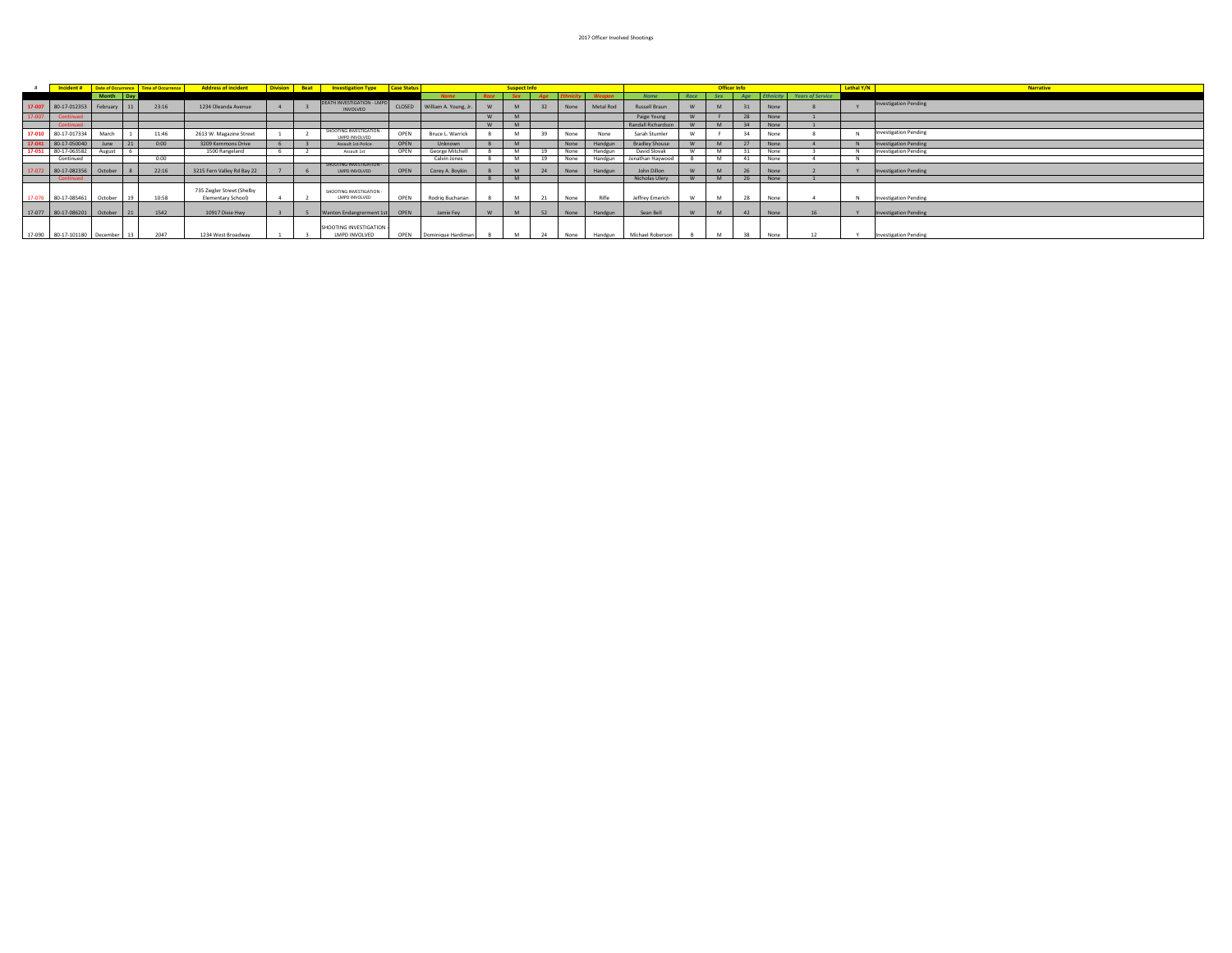|        |                                 |             |     | Incident # Date of Occurrence Time of Occurrence | <b>Address of incident</b>                       |  | <b>Division</b> Beat Investigation Type Case Status  |      |                              |          | <b>Suspect Info</b> |    |      |              |                       |      | <b>Officer Info</b> |     |      |                                   | Lethal Y/N | <b>Narrative</b>             |
|--------|---------------------------------|-------------|-----|--------------------------------------------------|--------------------------------------------------|--|------------------------------------------------------|------|------------------------------|----------|---------------------|----|------|--------------|-----------------------|------|---------------------|-----|------|-----------------------------------|------------|------------------------------|
|        |                                 | Month Day   |     |                                                  |                                                  |  |                                                      |      | <b>Name</b>                  | Race     | <b>Sex</b>          |    |      |              | <b>Name</b>           | Race | <b>Sex</b>          | Age |      | <b>Ethnicity</b> Years of Service |            |                              |
|        | 17-007 80-17-012353             | February 11 |     | 23:16                                            | 1234 Oleanda Avenue                              |  | <b>DEATH INVESTIGATION - LMPD</b><br><b>INVOLVED</b> |      | CLOSED William A. Young, Jr. |          | M                   | 32 | None | Metal Rod    | Russell Braun         |      |                     | 31  | None |                                   |            | <b>Investigation Pending</b> |
| 17-007 |                                 |             |     |                                                  |                                                  |  |                                                      |      |                              | <b>W</b> | <b>M</b>            |    |      |              | Paige Young           |      |                     | 28  | None |                                   |            |                              |
|        |                                 |             |     |                                                  |                                                  |  |                                                      |      |                              | <b>W</b> |                     |    |      |              | Randall Richardson    |      |                     | 34  | None |                                   |            |                              |
|        | 17-010 80-17-017334             | March       |     | 11:46                                            | 2613 W. Magazine Street                          |  | SHOOTING INVESTIGATION -<br>LMPD INVOLVED            | OPEN | Bruce L. Warrick             |          |                     |    | None | None         | Sarah Stumler         |      |                     |     | None |                                   |            | <b>Investigation Pending</b> |
|        | 17-041 80-17-050040             | June        |     | 0:00                                             | 3209 Kemmons Drive                               |  | Assault 1st-Police                                   | OPEN | Unknown                      |          |                     |    | None | Handgun      | <b>Bradley Shouse</b> |      |                     |     | None |                                   |            | <b>Investigation Pending</b> |
|        | 17-051 80-17-063582             | August      |     |                                                  | 1500 Rangeland                                   |  | Assault 1st                                          | OPEN | George Mitchell              |          |                     | 19 | None | Handgun      | David Slovak          |      |                     |     | None |                                   |            | <b>Investigation Pending</b> |
|        | Continued                       |             |     | 0:00                                             |                                                  |  |                                                      |      | Calvin Jones                 |          |                     | 19 | None | Handgun      | Jonathan Haywood      |      |                     |     | None |                                   |            |                              |
|        | 80-17-082356 October 8          |             |     | 22:16                                            | 3215 Fern Valley Rd Bay 22                       |  | SHOOTING INVESTIGATION -<br>LMPD INVOLVED            | OPEN | Corey A. Boykin              |          |                     | 24 |      | None Handgun | John Dillon           |      |                     | 26  | None |                                   |            | <b>Investigation Pending</b> |
|        |                                 |             |     |                                                  |                                                  |  |                                                      |      |                              |          |                     |    |      |              | Nicholas Ulery        |      |                     |     | None |                                   |            |                              |
| 17-076 | 80-17-085461                    | October 19  |     | 10:58                                            | 735 Ziegler Street (Shelby<br>Elementary School) |  | SHOOTING INVESTIGATION -<br>LMPD INVOLVED            | OPEN | Rodrig Buchanan              |          |                     |    | None | Rifle        | Jeffrey Emerich       |      |                     | 28  | None |                                   |            | <b>Investigation Pending</b> |
|        | 17-077 80-17-086201 October     |             | 121 | 1542                                             | 10917 Dixie Hwy                                  |  | Wanton Endangrerment 1st                             | OPEN | Jamie Fey                    |          |                     | 52 | None | Handgun      | Sean Bell             |      |                     | 42  | None |                                   |            | <b>Investigation Pending</b> |
|        | 17-090 80-17-101180 December 13 |             |     | 2047                                             | 1234 West Broadway                               |  | SHOOTING INVESTIGATION<br>LMPD INVOLVED              | OPEN | Dominique Hardiman           |          |                     | 24 | None | Handgun      | Michael Roberson      |      |                     | 38  | None |                                   |            | <b>Investigation Pending</b> |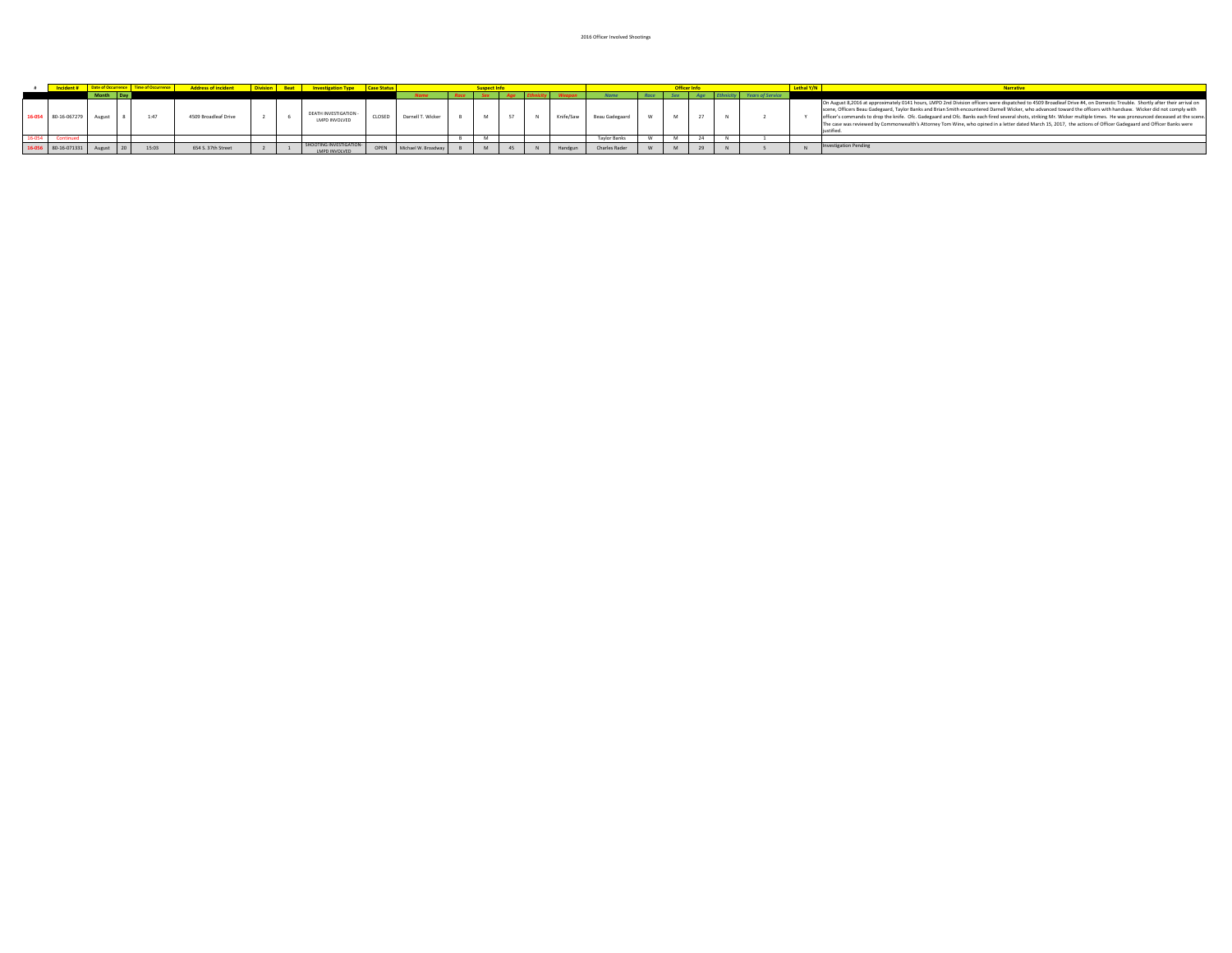|                            |           |       | <b>Address of incident</b> | <b>Division</b> | Beat Investigation Type Case Status      |        |                     |  |  |           |                     |            | <b>Uniter Information</b> |  | Lethal Y/N | <b>Narrative</b>                                                                                                                                                                                                                                                                                                                                                                                                                                                                                                                                                                                                                                                                                |
|----------------------------|-----------|-------|----------------------------|-----------------|------------------------------------------|--------|---------------------|--|--|-----------|---------------------|------------|---------------------------|--|------------|-------------------------------------------------------------------------------------------------------------------------------------------------------------------------------------------------------------------------------------------------------------------------------------------------------------------------------------------------------------------------------------------------------------------------------------------------------------------------------------------------------------------------------------------------------------------------------------------------------------------------------------------------------------------------------------------------|
|                            | Month Day |       |                            |                 |                                          |        |                     |  |  |           |                     | <b>Sex</b> |                           |  |            |                                                                                                                                                                                                                                                                                                                                                                                                                                                                                                                                                                                                                                                                                                 |
| 16-054 80-16-067279        |           | 1:47  | 4509 Broadleaf Drive       |                 | DEATH INVESTIGATION -<br>LMPD INVOLVED   | CLOSED | Darnell T. Wicker   |  |  | Knife/Saw | Beau Gadegaard      |            |                           |  |            | On August 8,2016 at approximately 0141 hours, LMPD 2nd Division officers were dispatched to 4509 Broadleaf Drive #4, on Domestic Trouble. Shortly after their arrival on<br>scene. Officers Beau Gadegaard, Taylor Banks and Brian Smith encountered Darnell Wicker, who advanced toward the officers with handsaw. Wicker did not comply with<br>officer's commands to drop the knife. Ofc. Gadegaard and Ofc. Banks each fired several shots, striking Mr. Wicker multiple times. He was pronounced deceased at the scene.<br>The case was reviewed by Commonwealth's Attorney Tom Wine, who opined in a letter dated March 15, 2017, the actions of Officer Gadegaard and Officer Banks were |
|                            |           |       |                            |                 |                                          |        |                     |  |  |           | <b>Taylor Banks</b> |            |                           |  |            |                                                                                                                                                                                                                                                                                                                                                                                                                                                                                                                                                                                                                                                                                                 |
| 16-056 80-16-071331 August |           | 15:03 | 654 S. 37th Street         |                 | SHOOTING INVESTIGATION-<br>LMPD INVOLVED | OPEN   | Michael W. Broadway |  |  | Handgu    | Charles Rade        |            |                           |  |            | <b>Investigation Pending</b>                                                                                                                                                                                                                                                                                                                                                                                                                                                                                                                                                                                                                                                                    |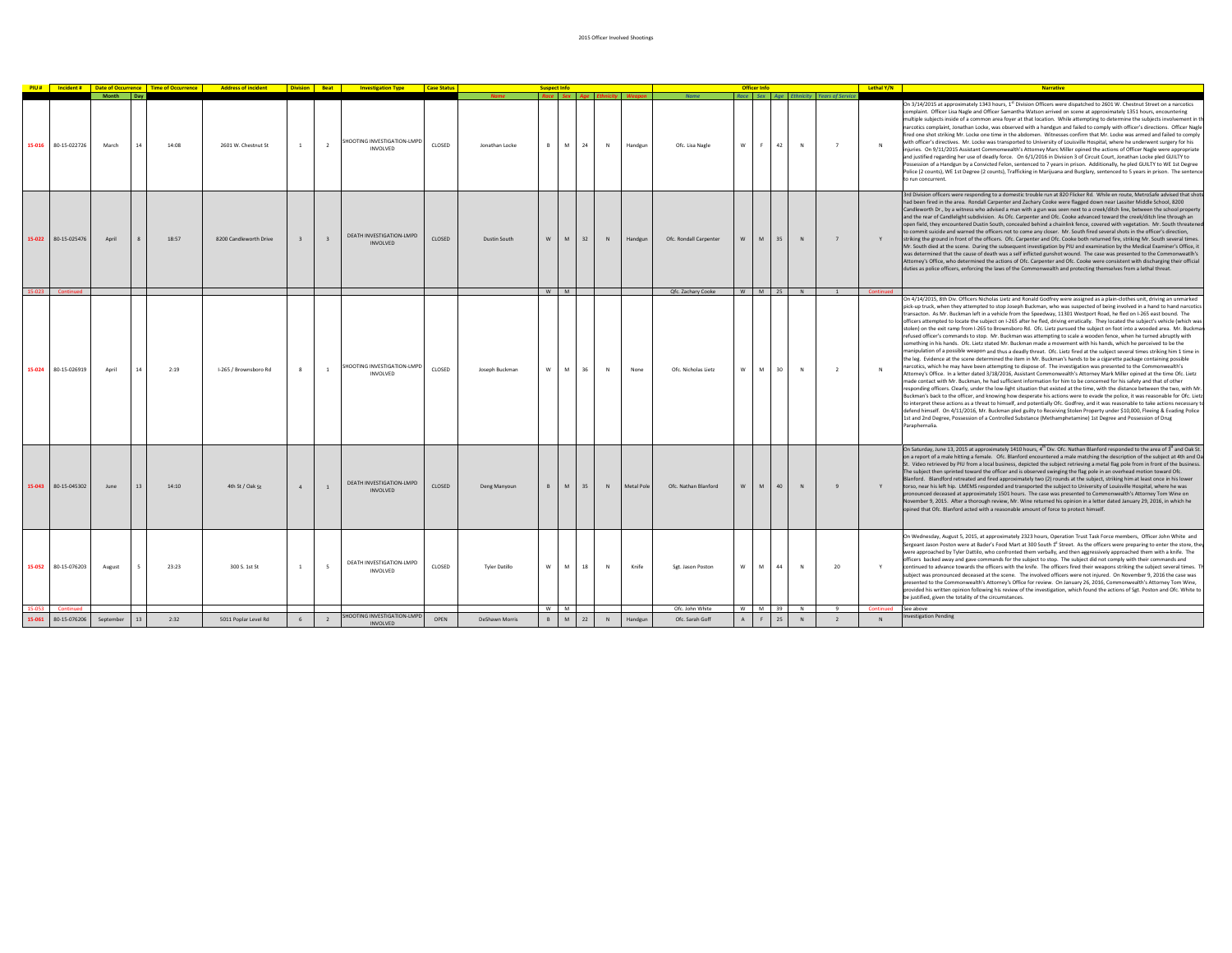|        |                     |                    |    |       | <b>PIU #</b> Incident # Date of Occurrence Time of Occurrence Address of incident Division Beat Investigation Type |                  |                     |                                             | <b>Case Statu</b> |                | <b>Suspect Info</b> |                |    |             |            |                        |           | Officer Info   |        |                             |                                           | Lethal Y/N | <b>Narrative</b>                                                                                                                                                                                                                                                                                                                                                                                                                                                                                                                                                                                                                                                                                                                                                                                                                                                                                                                                                                                                                                                                                                                                                                                                                                                                                                                                                                                                                                                                                                                                                                                                                                                                                                                                                                                                                                                                                                                                                                                                                                                                                                                                                                                                                    |
|--------|---------------------|--------------------|----|-------|--------------------------------------------------------------------------------------------------------------------|------------------|---------------------|---------------------------------------------|-------------------|----------------|---------------------|----------------|----|-------------|------------|------------------------|-----------|----------------|--------|-----------------------------|-------------------------------------------|------------|-------------------------------------------------------------------------------------------------------------------------------------------------------------------------------------------------------------------------------------------------------------------------------------------------------------------------------------------------------------------------------------------------------------------------------------------------------------------------------------------------------------------------------------------------------------------------------------------------------------------------------------------------------------------------------------------------------------------------------------------------------------------------------------------------------------------------------------------------------------------------------------------------------------------------------------------------------------------------------------------------------------------------------------------------------------------------------------------------------------------------------------------------------------------------------------------------------------------------------------------------------------------------------------------------------------------------------------------------------------------------------------------------------------------------------------------------------------------------------------------------------------------------------------------------------------------------------------------------------------------------------------------------------------------------------------------------------------------------------------------------------------------------------------------------------------------------------------------------------------------------------------------------------------------------------------------------------------------------------------------------------------------------------------------------------------------------------------------------------------------------------------------------------------------------------------------------------------------------------------|
| 15-016 | 80-15-022726        | Month Day<br>March | 14 | 14:08 | 2601 W. Chestnut St                                                                                                |                  | $\overline{2}$      | SHOOTING INVESTIGATION-LMPD<br>INVOLVED     | CLOSED            | Jonathan Locke | B                   | M <sub>1</sub> | 24 | N           | Handgun    | Ofc. Lisa Nagle        | W         |                | 42     | Race Sex Age Ethnicity<br>N | <b>Years of Service</b><br>$\overline{7}$ |            | On 3/14/2015 at approximately 1343 hours, 1st Division Officers were dispatched to 2601 W. Chestnut Street on a narcotics<br>complaint. Officer Lisa Nagle and Officer Samantha Watson arrived on scene at approximately 1351 hours, encountering<br>multiple subjects inside of a common area foyer at that location. While attempting to determine the subjects involvement in th<br>narcotics complaint, Jonathan Locke, was observed with a handgun and failed to comply with officer's directions. Officer Nagle<br>fired one shot striking Mr. Locke one time in the abdomen. Witnesses confirm that Mr. Locke was armed and failed to comply<br>with officer's directives. Mr. Locke was transported to University of Louisville Hospital, where he underwent surgery for his<br>injuries. On 9/11/2015 Assistant Commonwealth's Attorney Marc Miller opined the actions of Officer Nagle were appropriate<br>and justified regarding her use of deadly force. On 6/1/2016 in Division 3 of Circuit Court, Jonathan Locke pled GUILTY to<br>Possession of a Handgun by a Convicted Felon, sentenced to 7 years in prison. Additionally, he pled GUILTY to WE 1st Degree<br>Police (2 counts), WE 1st Degree (2 counts), Trafficking in Marijuana and Burglary, sentenced to 5 years in prison. The sentence<br>to run concurrent.                                                                                                                                                                                                                                                                                                                                                                                                                                                                                                                                                                                                                                                                                                                                                                                                                                                                                            |
| 15-022 | 80-15-025476        | April              |    | 18:57 | 8200 Candleworth Drive                                                                                             |                  | $\ddot{\mathbf{z}}$ | DEATH INVESTIGATION-LMPD<br>INVOLVED.       | CLOSED            | Dustin South   | W.                  | M              | 32 | N           | Handgun    | Ofc. Rondall Carpenter | w         |                | 35     | N                           |                                           |            | 3rd Division officers were responding to a domestic trouble run at 820 Flicker Rd. While en route, MetroSafe advised that shots<br>had been fired in the area. Rondall Carpenter and Zachary Cooke were flagged down near Lassiter Middle School, 8200<br>Candleworth Dr., by a witness who advised a man with a gun was seen next to a creek/ditch line, between the school property<br>and the rear of Candlelight subdivision. As Ofc. Carpenter and Ofc. Cooke advanced toward the creek/ditch line through an<br>open field, they encountered Dustin South, concealed behind a chainlink fence, covered with vegetation. Mr. South threatened<br>to commit suicide and warned the officers not to come any closer. Mr. South fired several shots in the officer's direction.<br>striking the ground in front of the officers. Ofc. Carpenter and Ofc. Cooke both returned fire, striking Mr. South several times.<br>Mr. South died at the scene. During the subsequent investigation by PIU and examination by the Medical Examiner's Office, it<br>was determined that the cause of death was a self inflicted gunshot wound. The case was presented to the Commonweatlh's<br>Attorney's Office, who determined the actions of Ofc. Carpenter and Ofc. Cooke were consistent with discharging their official<br>duties as police officers, enforcing the laws of the Commonwealth and protecting themselves from a lethal threat.                                                                                                                                                                                                                                                                                                                                                                                                                                                                                                                                                                                                                                                                                                                                                                                            |
|        | Continued           |                    |    |       |                                                                                                                    |                  |                     |                                             |                   |                | W.                  | M              |    |             |            | Qfc. Zachary Cooke     |           |                | W M 25 | N                           |                                           | Continued  |                                                                                                                                                                                                                                                                                                                                                                                                                                                                                                                                                                                                                                                                                                                                                                                                                                                                                                                                                                                                                                                                                                                                                                                                                                                                                                                                                                                                                                                                                                                                                                                                                                                                                                                                                                                                                                                                                                                                                                                                                                                                                                                                                                                                                                     |
|        | 15-024 80-15-026919 | April              | 14 | 2:19  | I-265 / Brownsboro Rd                                                                                              |                  | $\overline{1}$      | SHOOTING INVESTIGATION-LMPD<br>INVOLVED     | CLOSED            | Joseph Buckman |                     | W M 36         |    | $\,$ N      | None       | Ofc. Nicholas Lietz    | W         | <b>M</b>       | 30     | N                           | $\overline{\phantom{a}}$                  | N          | On 4/14/2015, 8th Div. Officers Nicholas Lietz and Ronald Godfrey were assigned as a plain-clothes unit, driving an unmarked<br>pick-up truck, when they attempted to stop Joseph Buckman, who was suspected of being involved in a hand to hand narcotics<br>transacton. As Mr. Buckman left in a vehicle from the Speedway, 11301 Westport Road, he fled on I-265 east bound. The<br>officers attempted to locate the subject on I-265 after he fled, driving erratically. They located the subject's vehicle (which was<br>stolen) on the exit ramp from I-265 to Brownsboro Rd. Ofc. Lietz pursued the subject on foot into a wooded area. Mr. Buckman<br>refused officer's commands to stop. Mr. Buckman was attempting to scale a wooden fence, when he turned abruptly with<br>something in his hands. Ofc. Lietz stated Mr. Buckman made a movement with his hands, which he perceived to be the<br>manipulation of a possible weapon and thus a deadly threat. Ofc. Lietz fired at the subject several times striking him 1 time in<br>the leg. Evidence at the scene determined the item in Mr. Buckman's hands to be a cigarette package containing possible<br>narcotics, which he may have been attempting to dispose of. The investigation was presented to the Commonwealth's<br>Attorney's Office. In a letter dated 3/18/2016, Assistant Commonwealth's Attorney Mark Miller opined at the time Ofc. Lietz<br>nade contact with Mr. Buckman, he had sufficient information for him to be concerned for his safety and that of other<br>esponding officers. Clearly, under the low-light situation that existed at the time, with the distance between the two, with Mr.<br>Buckman's back to the officer, and knowing how desperate his actions were to evade the police, it was reasonable for Ofc. Lietz<br>to interpret these actions as a threat to himself, and potentially Ofc. Godfrey, and it was reasonable to take actions necessary to<br>defend himself. On 4/11/2016, Mr. Buckman pled guilty to Receiving Stolen Property under \$10,000, Fleeing & Evading Police<br>1st and 2nd Degree, Possession of a Controlled Substance (Methamphetamine) 1st Degree and Possession of Drug<br>Paraphernalia. |
| 15-043 | 80-15-045302        | June               |    | 14:10 | 4th St / Oak St                                                                                                    |                  | $\overline{1}$      | DEATH INVESTIGATION-LMPD<br><b>INVOLVED</b> | CLOSED            | Deng Manyoun   | B                   | M              | 35 | N           | Metal Pole | Ofc. Nathan Blanford   | ${\bf W}$ | M              | 40     | $\,$ N                      |                                           | Y          | On Saturday, June 13, 2015 at approximately 1410 hours, 4 <sup>th</sup> Div. Ofc. Nathan Blanford responded to the area of 3 <sup>d</sup> and Oak St.<br>on a report of a male hitting a female. Ofc. Blanford encountered a male matching the description of the subject at 4th and Oa<br>St. Video retrieved by PIU from a local business, depicted the subject retrieving a metal flag pole from in front of the business.<br>The subject then sprinted toward the officer and is observed swinging the flag pole in an overhead motion toward Ofc.<br>Blanford. Blandford retreated and fired approximately two (2) rounds at the subject, striking him at least once in his lower<br>torso, near his left hip. LMEMS responded and transported the subject to University of Louisville Hospital, where he was<br>pronounced deceased at approximately 1501 hours. The case was presented to Commonwealth's Attorney Tom Wine on<br>November 9, 2015. After a thorough review, Mr. Wine returned his opinion in a letter dated January 29, 2016, in which he<br>opined that Ofc. Blanford acted with a reasonable amount of force to protect himself.                                                                                                                                                                                                                                                                                                                                                                                                                                                                                                                                                                                                                                                                                                                                                                                                                                                                                                                                                                                                                                                                           |
| 15-052 | 80-15-076203        | August             |    | 23:23 | 300 S. 1st St                                                                                                      |                  | - 5                 | DEATH INVESTIGATION-LMPD<br>INVOLVED        | CLOSED            | Tyler Datillo  | w I                 | <b>м</b>       | 18 | $\mathbb N$ | Knife      | Sgt. Jason Poston      | W         | AA             | 44     | N                           | 20                                        | Y          | On Wednesday, August 5, 2015, at approximately 2323 hours, Operation Trust Task Force members, Officer John White and<br>Sergeant Jason Poston were at Bader's Food Mart at 300 South 1 <sup>t</sup> Street. As the officers were preparing to enter the store, they<br>were approached by Tyler Dattilo, who confronted them verbally, and then aggressively approached them with a knife. The<br>officers backed away and gave commands for the subject to stop. The subject did not comply with their commands and<br>continued to advance towards the officers with the knife. The officers fired their weapons striking the subject several times. The<br>subject was pronounced deceased at the scene. The involved officers were not injured. On November 9, 2016 the case was<br>presented to the Commonwealth's Attorney's Office for review. On January 26, 2016, Commonwealth's Attorney Tom Wine,<br>provided his written opinion following his review of the investigation, which found the actions of Sgt. Poston and Ofc. White to<br>be justified, given the totality of the circumstances.                                                                                                                                                                                                                                                                                                                                                                                                                                                                                                                                                                                                                                                                                                                                                                                                                                                                                                                                                                                                                                                                                                                         |
|        | Continued           |                    |    |       |                                                                                                                    |                  |                     | SHOOTING INVESTIGATION-LMPD                 |                   |                | W.                  | M              |    |             |            | Ofc. John White        | w         | M <sub>1</sub> | 39     | N                           | 9                                         | Continued  | See above<br>westigation Pending                                                                                                                                                                                                                                                                                                                                                                                                                                                                                                                                                                                                                                                                                                                                                                                                                                                                                                                                                                                                                                                                                                                                                                                                                                                                                                                                                                                                                                                                                                                                                                                                                                                                                                                                                                                                                                                                                                                                                                                                                                                                                                                                                                                                    |
| 15-061 | 80-15-076206        | September          | 13 | 2:32  | 5011 Poplar Level Rd                                                                                               | $6 \overline{6}$ | $\overline{2}$      | INVOLVED.                                   | OPEN              | DeShawn Morris | B                   | M              | 22 | ${\sf N}$   | Handgun    | Ofc. Sarah Goff        | A         | F.             | 25     | N                           | $\overline{\phantom{a}}$                  |            |                                                                                                                                                                                                                                                                                                                                                                                                                                                                                                                                                                                                                                                                                                                                                                                                                                                                                                                                                                                                                                                                                                                                                                                                                                                                                                                                                                                                                                                                                                                                                                                                                                                                                                                                                                                                                                                                                                                                                                                                                                                                                                                                                                                                                                     |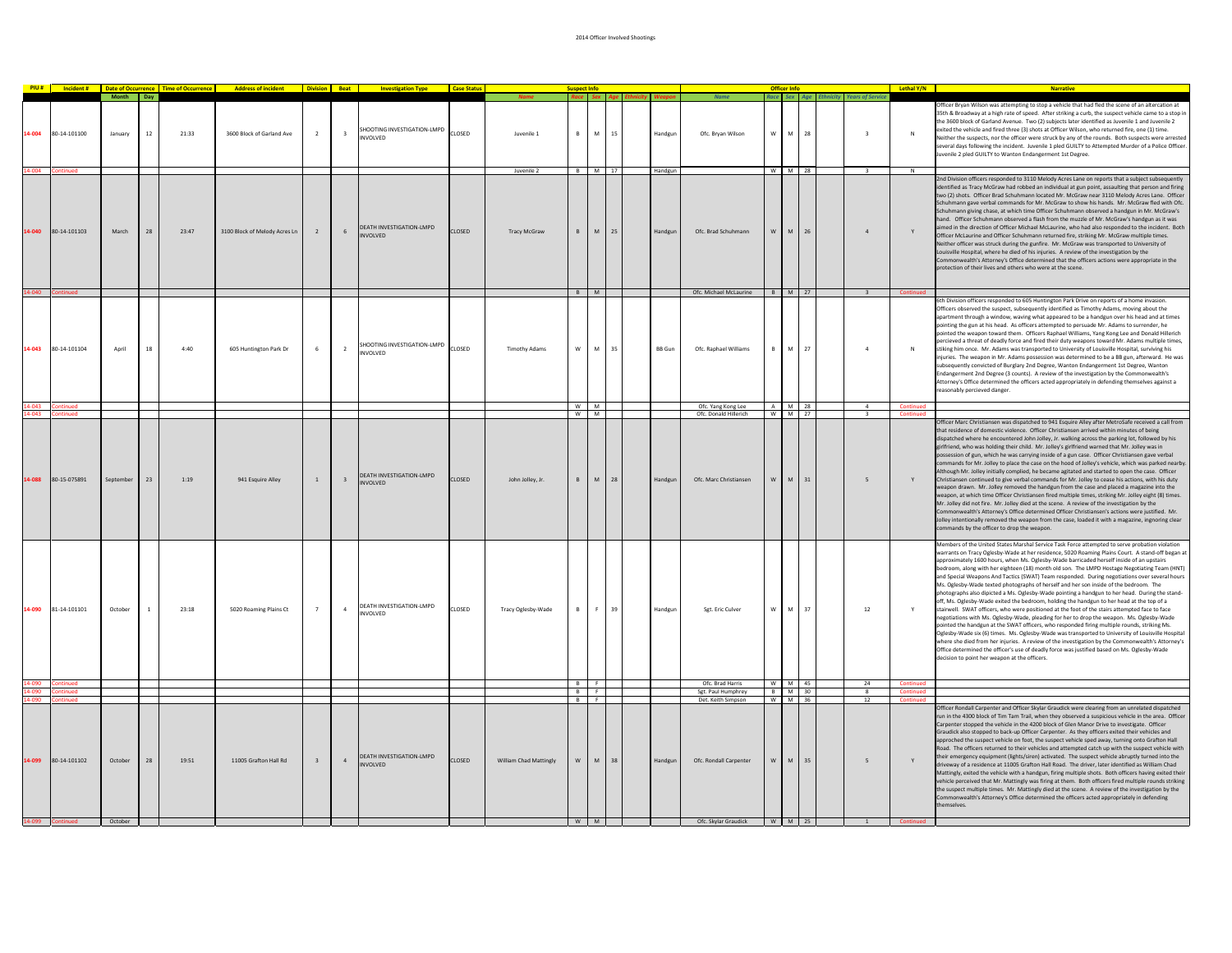|           |                          |           |              |       | PIU # Incident # Date of Occurrence Time of Occurrence Address of incident Division Beat Investigation Type |                |                         |                                                   | <b>Case Status</b> |                        |          |          |      |               |                                              |              |             |    |                                        | Lethal Y/N                           | <b>Narrative</b>                                                                                                                                                                                                                                                                                                                                                                                                                                                                                                                                                                                                                                                                                                                                                                                                                                                                                                                                                                                                                                                                                                                                                                                                                                                                                                                                                                                                                              |
|-----------|--------------------------|-----------|--------------|-------|-------------------------------------------------------------------------------------------------------------|----------------|-------------------------|---------------------------------------------------|--------------------|------------------------|----------|----------|------|---------------|----------------------------------------------|--------------|-------------|----|----------------------------------------|--------------------------------------|-----------------------------------------------------------------------------------------------------------------------------------------------------------------------------------------------------------------------------------------------------------------------------------------------------------------------------------------------------------------------------------------------------------------------------------------------------------------------------------------------------------------------------------------------------------------------------------------------------------------------------------------------------------------------------------------------------------------------------------------------------------------------------------------------------------------------------------------------------------------------------------------------------------------------------------------------------------------------------------------------------------------------------------------------------------------------------------------------------------------------------------------------------------------------------------------------------------------------------------------------------------------------------------------------------------------------------------------------------------------------------------------------------------------------------------------------|
|           |                          | Month Day |              |       |                                                                                                             |                |                         |                                                   |                    |                        |          |          |      |               | Name                                         |              |             |    | Race Sex Age Ethnicity Years of Servic |                                      |                                                                                                                                                                                                                                                                                                                                                                                                                                                                                                                                                                                                                                                                                                                                                                                                                                                                                                                                                                                                                                                                                                                                                                                                                                                                                                                                                                                                                                               |
| 14-004    | 80-14-101100             | January   | 12           | 21:33 | 3600 Block of Garland Ave                                                                                   | $\overline{2}$ | $\overline{\mathbf{3}}$ | SHOOTING INVESTIGATION-LMPD<br>NVOLVED            | CLOSED             | Juvenile 1             | B        | M        | 15   | Handgun       | Ofc. Brvan Wilson                            | w            | M           | 28 | $\overline{\mathbf{3}}$                | $\mathbb{N}$                         | Ficer Bryan Wilson was attempting to stop a vehicle that had fled the scene of an altercatio<br>5th & Broadway at a high rate of speed. After striking a curb, the suspect vehicle came to a stop in<br>the 3600 block of Garland Avenue. Two (2) subjects later identified as Juvenile 1 and Juvenile 2<br>exited the vehicle and fired three (3) shots at Officer Wilson, who returned fire, one (1) time.<br>leither the suspects, nor the officer were struck by any of the rounds. Both suspects were arrested<br>several days following the incident. Juvenile 1 pled GUILTY to Attempted Murder of a Police Officer.<br>ivenile 2 pled GUILTY to Wanton Endangerment 1st Degree.                                                                                                                                                                                                                                                                                                                                                                                                                                                                                                                                                                                                                                                                                                                                                       |
|           |                          |           |              |       |                                                                                                             |                |                         |                                                   |                    | Juvenile 2             |          | B M 17   |      | Handgun       |                                              |              | W M 28      |    | $\overline{\mathbf{3}}$                | $\overline{N}$                       |                                                                                                                                                                                                                                                                                                                                                                                                                                                                                                                                                                                                                                                                                                                                                                                                                                                                                                                                                                                                                                                                                                                                                                                                                                                                                                                                                                                                                                               |
| $4 - 040$ | 80-14-101103             | March     | 28           | 23:47 | 3100 Block of Melody Acres Ln                                                                               | 2              | 6 <sup>1</sup>          | DEATH INVESTIGATION-LMPD<br><b>NVOLVED</b>        | CLOSED             | <b>Tracy McGraw</b>    | R        | M        | 25   | Handgun       | Ofc. Brad Schuhmann                          | W            | ${\sf M}$   | 26 | $\mathbf{A}$                           | Y                                    | 2nd Division officers responded to 3110 Melody Acres Lane on reports that a subject subsequently<br>dentified as Tracy McGraw had robbed an individual at gun point, assaulting that person and firing<br>two (2) shots. Officer Brad Schuhmann located Mr. McGraw near 3110 Melody Acres Lane. Office<br>chuhmann gave verbal commands for Mr. McGraw to show his hands. Mr. McGraw fled with Ofc.<br>Schuhmann giving chase, at which time Officer Schuhmann observed a handgun in Mr. McGraw's<br>hand. Officer Schuhmann observed a flash from the muzzle of Mr. McGraw's handgun as it was<br>aimed in the direction of Officer Michael McLaurine, who had also responded to the incident. Both<br>Officer McLaurine and Officer Schuhmann returned fire, striking Mr. McGraw multiple times.<br>Neither officer was struck during the gunfire. Mr. McGraw was transported to University of<br>Louisville Hospital, where he died of his injuries. A review of the investigation by the<br>ommonwealth's Attorney's Office determined that the officers actions were appropriate in the<br>otection of their lives and others who were at the scene.                                                                                                                                                                                                                                                                                     |
|           |                          |           |              |       |                                                                                                             |                |                         |                                                   |                    |                        |          | B M      |      |               | Ofc. Michael McLaurine                       |              | B M 27      |    | 3 <sup>1</sup>                         | Continued                            |                                                                                                                                                                                                                                                                                                                                                                                                                                                                                                                                                                                                                                                                                                                                                                                                                                                                                                                                                                                                                                                                                                                                                                                                                                                                                                                                                                                                                                               |
| 4-043     | 80-14-101104             | April     | 18           | 4:40  | 605 Huntington Park Dr                                                                                      | 6              | $\overline{2}$          | SHOOTING INVESTIGATION-LMPD<br>NVOLVED            | CLOSED             | <b>Timothy Adams</b>   | W        | M        | 35   | <b>BB</b> Gun | Ofc. Raphael Williams                        | B            | M           | 27 | $\overline{4}$                         | N                                    | ith Division officers responded to 605 Huntington Park Drive on reports of a home invasion.<br>Officers observed the suspect, subsequently identified as Timothy Adams, moving about the<br>apartment through a window, waving what appeared to be a handgun over his head and at times<br>pointing the gun at his head. As officers attempted to persuade Mr. Adams to surrender, he<br>pointed the weapon toward them. Officers Raphael Williams, Yang Kong Lee and Donald Hillerich<br>ercieved a threat of deadly force and fired their duty weapons toward Mr. Adams multiple times,<br>stiking him once. Mr. Adams was transported to University of Louisville Hospital, surviving his<br>njuries. The weapon in Mr. Adams possession was determined to be a BB gun, afterward. He was<br>ubsequently convicted of Burglary 2nd Degree, Wanton Endangerment 1st Degree, Wanton<br>Endangerment 2nd Degree (3 counts). A review of the investigation by the Commonwealth's<br>Attorney's Office determined the officers acted appropriately in defending themselves against a<br>asonably percieved danger.                                                                                                                                                                                                                                                                                                                              |
|           |                          |           |              |       |                                                                                                             |                |                         |                                                   |                    |                        | w        | M<br>W M |      |               | Ofc. Yang Kong Lee<br>Ofc. Donald Hillerich  | $\mathsf{A}$ | M<br>W M 27 | 28 | $\overline{a}$<br>$\mathbf{R}$         | <b>Continued</b><br><b>Continued</b> |                                                                                                                                                                                                                                                                                                                                                                                                                                                                                                                                                                                                                                                                                                                                                                                                                                                                                                                                                                                                                                                                                                                                                                                                                                                                                                                                                                                                                                               |
| 14-088    | 80-15-075891             | September | 23           | 1:19  | 941 Esquire Alley                                                                                           | $\mathbf{1}$   | $\mathbf{R}$            | <b>DEATH INVESTIGATION-LMPD</b><br>NVOLVED        | <b>CLOSED</b>      | John Jolley, Ir.       | R        |          | M 28 | Handgur       | Ofc. Marc Christiansen                       | w            | M           | 31 | 5 <sup>5</sup>                         | Y                                    | Officer Marc Christiansen was dispatched to 941 Esquire Alley after MetroSafe received a call from<br>that residence of domestic violence. Officer Christiansen arrived within minutes of being<br>ispatched where he encountered John Jolley. Jr. walking across the parking lot, followed by his<br>girlfriend, who was holding their child. Mr. Jolley's girlfriend warned that Mr. Jolley was in<br>ossession of gun, which he was carrying inside of a gun case. Officer Christiansen gave verbal<br>ommands for Mr. Jolley to place the case on the hood of Jolley's vehicle, which was parked nearby<br>Although Mr. Jolley initially complied, he became agitated and started to open the case. Officer<br>Christiansen continued to give verbal commands for Mr. Jolley to cease his actions, with his duty<br>weapon drawn. Mr. Jolley removed the handgun from the case and placed a magazine into the<br>veapon, at which time Officer Christiansen fired multiple times, striking Mr. Jolley eight (8) times<br>Mr. Jolley did not fire. Mr. Jolley died at the scene. A review of the investigation by the<br>Commonwealth's Attorney's Office determined Officer Christiansen's actions were justified. Mr.<br>olley intentionally removed the weapon from the case, loaded it with a magazine, ingnoring clear<br>mmands by the officer to drop the weapon.                                                                   |
|           | 14-090 81-14-101101      | October   | $\mathbf{1}$ | 23:18 | 5020 Roaming Plains Ct                                                                                      | $\overline{7}$ | $\overline{a}$          | DEATH INVESTIGATION-LMPD<br>NVOLVED               | CLOSED             | Tracy Oglesby-Wade     | B        | F.,      | 39   | Handgur       | Set. Eric Culver                             | w            | M           | 37 | 12                                     | Y                                    | Members of the United States Marshal Service Task Force attempted to serve probation violation<br>warrants on Tracy Oglesby-Wade at her residence, 5020 Roaming Plains Court. A stand-off began a<br>approximately 1600 hours, when Ms. Oglesby-Wade barricaded herself inside of an upstairs<br>bedroom, along with her eighteen (18) month old son. The LMPD Hostage Negotiating Team (HNT)<br>and Special Weapons And Tactics (SWAT) Team responded. During negotiations over several hours<br>Ms. Oglesby-Wade texted photographs of herself and her son inside of the bedroom. The<br>photographs also dipicted a Ms. Oglesby-Wade pointing a handgun to her head. During the stand-<br>off, Ms. Oglesby-Wade exited the bedroom, holding the handgun to her head at the top of a<br>stairwell. SWAT officers, who were positioned at the foot of the stairs attempted face to face<br>negotiations with Ms. Oglesby-Wade, pleading for her to drop the weapon. Ms. Oglesby-Wade<br>ointed the handgun at the SWAT officers, who responded firing multiple rounds, striking Ms.<br>Oglesby-Wade six (6) times. Ms. Oglesby-Wade was transported to University of Louisville Hospital<br>where she died from her injuries. A review of the investigation by the Commonwealth's Attorney's<br>Office determined the officer's use of deadly force was justified based on Ms. Oglesby-Wade<br>decision to point her weapon at the officers. |
|           | nued                     |           |              |       |                                                                                                             |                |                         |                                                   |                    |                        | B        | F.       |      |               | Ofc. Brad Harris                             | W            | M           | 45 | 24                                     | Continued                            |                                                                                                                                                                                                                                                                                                                                                                                                                                                                                                                                                                                                                                                                                                                                                                                                                                                                                                                                                                                                                                                                                                                                                                                                                                                                                                                                                                                                                                               |
|           |                          |           |              |       |                                                                                                             |                |                         |                                                   |                    |                        | B        | F.       |      |               | Sgt. Paul Humphrey                           |              | B M         | 30 | 8                                      | Continued                            |                                                                                                                                                                                                                                                                                                                                                                                                                                                                                                                                                                                                                                                                                                                                                                                                                                                                                                                                                                                                                                                                                                                                                                                                                                                                                                                                                                                                                                               |
| 4-099     | 80-14-101102             | October   | 28           | 19:51 | 11005 Grafton Hall Rd                                                                                       | $\overline{3}$ | $\mathbf{A}$            | <b>DEATH INVESTIGATION-LMPD</b><br><b>NVOLVED</b> | CLOSED             | William Chad Mattingly | R E<br>W | M        | 38   | Handgun       | Det. Keith Simpson<br>Ofc. Rondall Carpenter | W            | W M 36<br>M | 35 | 12<br>5                                | Contin                               | officer Rondall Carpenter and Officer Skylar Graudick were clearing from an unrelated dispatched<br>un in the 4300 block of Tim Tam Trail, when they observed a suspicious vehicle in the area. Officer<br>Carpenter stopped the vehicle in the 4200 block of Glen Manor Drive to investigate. Officer<br>Graudick also stopped to back-up Officer Carpenter. As they officers exited their vehicles and<br>approched the suspect vehicle on foot, the suspect vehicle sped away, turning onto Grafton Hall<br>toad. The officers returned to their vehicles and attempted catch up with the suspect vehicle with<br>their emergency equipment (lights/siren) activated. The suspect vehicle abruptly turned into the<br>iveway of a residence at 11005 Grafton Hall Road. The driver, later identified as William Chad<br>Mattingly, exited the vehicle with a handgun, firing multiple shots. Both officers having exited their<br>vehicle perceived that Mr. Mattingly was firing at them. Both officers fired multiple rounds striking<br>the suspect multiple times. Mr. Mattingly died at the scene. A review of the investigation by the<br>Commonwealth's Attorney's Office determined the officers acted appropriately in defending<br>emselves.                                                                                                                                                                                     |
|           | 14-099 Continued October |           |              |       |                                                                                                             |                |                         |                                                   |                    |                        | W M      |          |      |               | Ofc. Skylar Graudick                         |              | W M 25      |    | $\overline{1}$                         | Continued                            |                                                                                                                                                                                                                                                                                                                                                                                                                                                                                                                                                                                                                                                                                                                                                                                                                                                                                                                                                                                                                                                                                                                                                                                                                                                                                                                                                                                                                                               |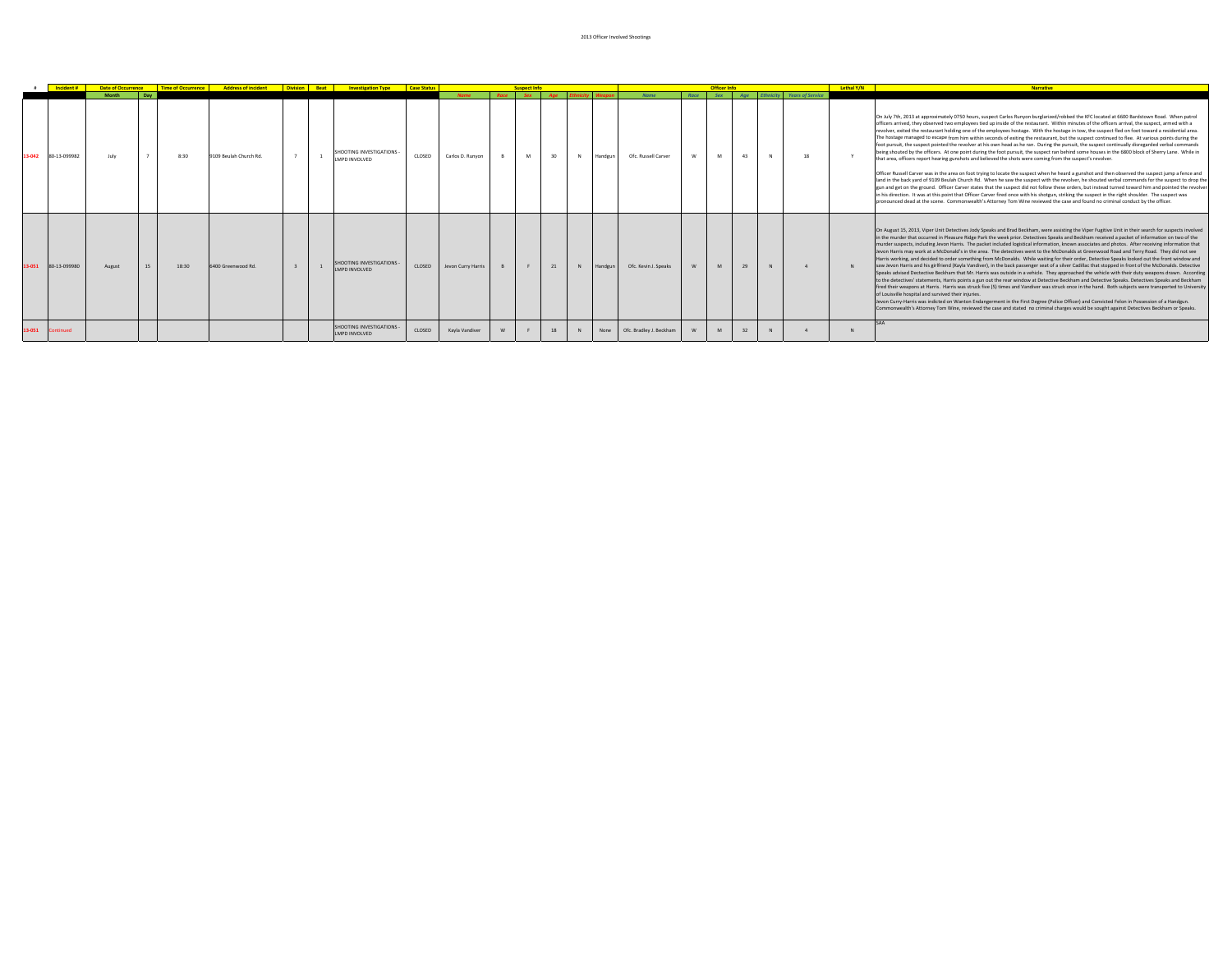|        | Incident #   |           |    |       | <b>Date of Occurrence   Time of Occurrence   Address of incident   Division   Beat   Investigation Type   Case Status</b> |  |                                                 |        |                    | usnect Info |    |   |         |                         |      | Officer Inf |             |   |                            |    | Lethal Y/N | <b>Narrative</b>                                                                                                                                                                                                                                                                                                                                                                                                                                                                                                                                                                                                                                                                                                                                                                                                                                                                                                                                                                                                                                                                                                                                                                                                                                                                                                                                                                                                                                                                                                                                                                                                                                                                                                                                                                                  |
|--------|--------------|-----------|----|-------|---------------------------------------------------------------------------------------------------------------------------|--|-------------------------------------------------|--------|--------------------|-------------|----|---|---------|-------------------------|------|-------------|-------------|---|----------------------------|----|------------|---------------------------------------------------------------------------------------------------------------------------------------------------------------------------------------------------------------------------------------------------------------------------------------------------------------------------------------------------------------------------------------------------------------------------------------------------------------------------------------------------------------------------------------------------------------------------------------------------------------------------------------------------------------------------------------------------------------------------------------------------------------------------------------------------------------------------------------------------------------------------------------------------------------------------------------------------------------------------------------------------------------------------------------------------------------------------------------------------------------------------------------------------------------------------------------------------------------------------------------------------------------------------------------------------------------------------------------------------------------------------------------------------------------------------------------------------------------------------------------------------------------------------------------------------------------------------------------------------------------------------------------------------------------------------------------------------------------------------------------------------------------------------------------------------|
|        |              | Month Day |    |       |                                                                                                                           |  |                                                 |        |                    |             |    |   |         | Name                    | Race | Sex         | $A\alpha e$ |   | Ethnicity Years of Service |    |            |                                                                                                                                                                                                                                                                                                                                                                                                                                                                                                                                                                                                                                                                                                                                                                                                                                                                                                                                                                                                                                                                                                                                                                                                                                                                                                                                                                                                                                                                                                                                                                                                                                                                                                                                                                                                   |
| 13-042 | 80-13-099982 | July      |    | 8:30  | 9109 Beulah Church Rd.                                                                                                    |  | SHOOTING INVESTIGATIONS<br>LMPD INVOLVED        | CLOSED | Carlos D. Runyon   | M           | 30 | N | Handgun | Ofc. Russell Carver     | w    | M           | 43          | N |                            | 18 |            | On July 7th, 2013 at approximately 0750 hours, suspect Carlos Runyon burglarized/robbed the KFC located at 6600 Bardstown Road. When patrol<br>officers arrived, they observed two employees tied up inside of the restaurant. Within minutes of the officers arrival, the suspect, armed with a<br>revolver, exited the restaurant holding one of the employees hostage. With the hostage in tow, the suspect fled on foot toward a residential area.<br>The hostage managed to escape from him within seconds of exiting the restaurant, but the suspect continued to flee. At various points during the<br>foot pursuit, the suspect pointed the revolver at his own head as he ran. During the pursuit, the suspect continually disregarded verbal commands<br>being shouted by the officers. At one point during the foot pursuit, the suspect ran behind some houses in the 6800 block of Sherry Lane. While in<br>that area, officers report hearing gunshots and believed the shots were coming from the suspect's revolver.<br>Officer Russell Carver was in the area on foot trying to locate the suspect when he heard a gunshot and then observed the suspect jump a fence and<br>land in the back yard of 9109 Beulah Church Rd. When he saw the suspect with the revolver, he shouted verbal commands for the suspect to drop the<br>gun and get on the ground. Officer Carver states that the suspect did not follow these orders, but instead turned toward him and pointed the revolver<br>in his direction. It was at this point that Officer Carver fired once with his shotgun, striking the suspect in the right shoulder. The suspect was<br>pronounced dead at the scene. Commonwealth's Attorney Tom Wine reviewed the case and found no criminal conduct by the officer. |
| 13-051 | 80-13-099980 | August    | 15 | 18:30 | 6400 Greenwood Rd.                                                                                                        |  | SHOOTING INVESTIGATIONS<br><b>LMPD INVOLVED</b> | CLOSED | Jevon Curry Harris |             | 21 | N | Handgun | Ofc. Kevin J. Speaks    | W    | M           | 29          |   |                            |    |            | On August 15, 2013. Viper Unit Detectives Jody Speaks and Brad Beckham, were assisting the Viper Fugitive Unit in their search for suspects involved<br>in the murder that occurred in Pleasure Ridge Park the week prior. Detectives Speaks and Beckham received a packet of information on two of the<br>murder suspects, including Jevon Harris. The packet included logistical information, known associates and photos. After receiving information that<br>Jeyon Harris may work at a McDonald's in the area. The detectives went to the McDonalds at Greenwood Road and Terry Road. They did not see<br>Harris working, and decided to order something from McDonalds. While waiting for their order, Detective Speaks looked out the front window and<br>saw Jevon Harris and his girlfriend (Kayla Vandiver), in the back passenger seat of a silver Cadillac that stopped in front of the McDonalds. Detective<br>Speaks advised Dectective Beckham that Mr. Harris was outside in a vehicle. They approached the vehicle with their duty weapons drawn. According<br>to the detectives' statements, Harris points a gun out the rear window at Detective Beckham and Detective Speaks. Detectives Speaks and Beckham<br>fired their weapons at Harris. Harris was struck five (5) times and Vandiver was struck once in the hand. Both subjects were transported to University<br>of Louisville hospital and survived their injuries.<br>Jevon Curry-Harris was indicted on Wanton Endangerment in the First Degree (Police Officer) and Convicted Felon in Possession of a Handgun.<br>Commonwealth's Attorney Tom Wine, reviewed the case and stated no criminal charges would be sought against Detectives Beckham or Speaks.                                                       |
| 13-051 | Continued    |           |    |       |                                                                                                                           |  | SHOOTING INVESTIGATIONS<br>LMPD INVOLVED        | CLOSED | Kayla Vandiver     |             | 18 |   | None    | Ofc. Bradley J. Beckham |      | M           |             |   |                            |    |            |                                                                                                                                                                                                                                                                                                                                                                                                                                                                                                                                                                                                                                                                                                                                                                                                                                                                                                                                                                                                                                                                                                                                                                                                                                                                                                                                                                                                                                                                                                                                                                                                                                                                                                                                                                                                   |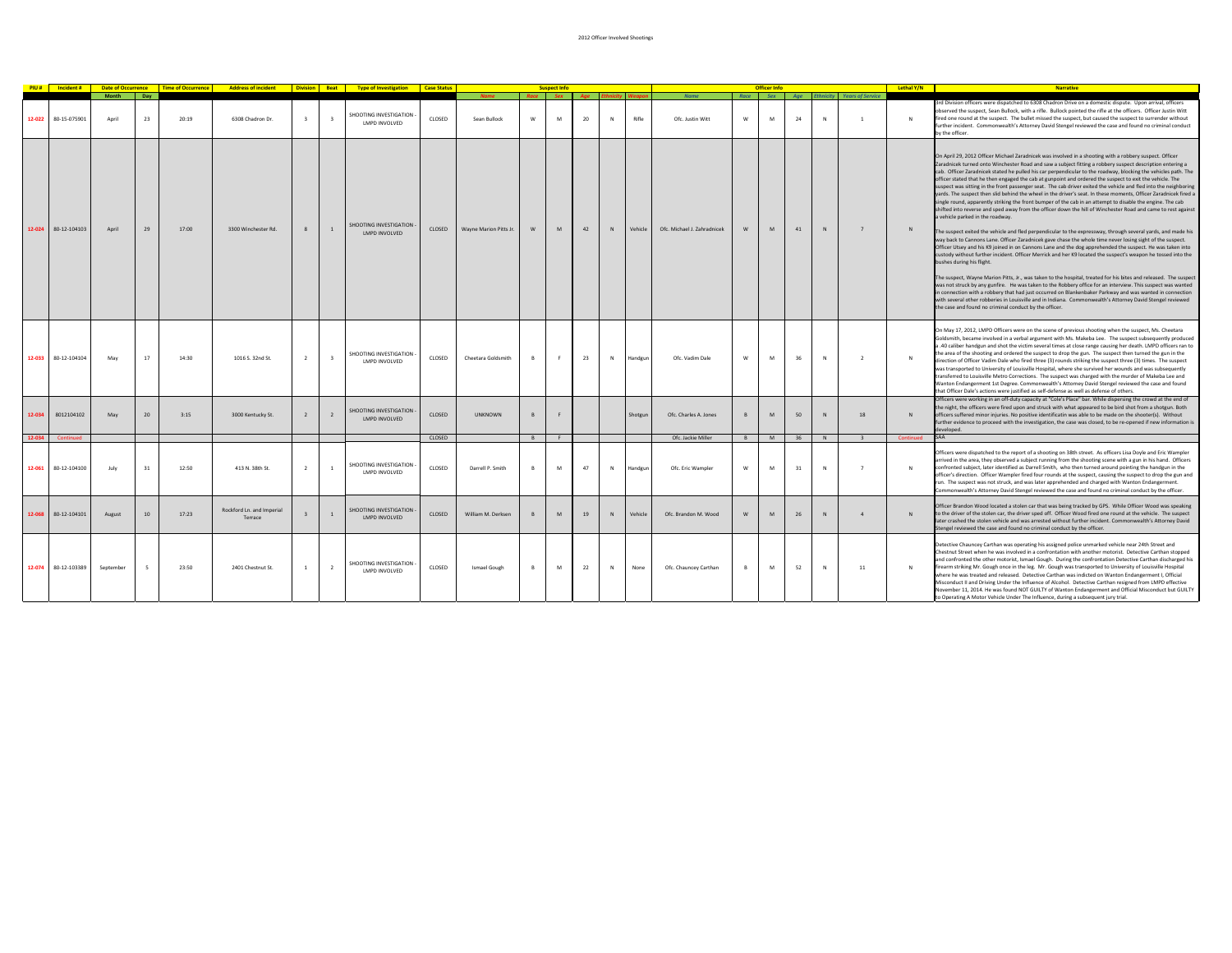|        |                        |                       |           |       | PIU # Incident # Date of Occurrence Time of Occurrence Address of incident Division Beat Type of Investigation Case Status |                |                         |                                                |        |                        |   | <b>Suspect Info</b> |    |   |         |                             |           | <b>Officer Info</b> |           |              |                                          | Lethal Y/N   | <b>Narrative</b>                                                                                                                                                                                                                                                                                                                                                                                                                                                                                                                                                                                                                                                                                                                                                                                                                                                                                                                                                                                                                                                                                                                                                                                                                                                                                                                                                                                                                                                                                                                                                                                                                                                                                                                                                                                                                                                                                                                                                           |
|--------|------------------------|-----------------------|-----------|-------|----------------------------------------------------------------------------------------------------------------------------|----------------|-------------------------|------------------------------------------------|--------|------------------------|---|---------------------|----|---|---------|-----------------------------|-----------|---------------------|-----------|--------------|------------------------------------------|--------------|----------------------------------------------------------------------------------------------------------------------------------------------------------------------------------------------------------------------------------------------------------------------------------------------------------------------------------------------------------------------------------------------------------------------------------------------------------------------------------------------------------------------------------------------------------------------------------------------------------------------------------------------------------------------------------------------------------------------------------------------------------------------------------------------------------------------------------------------------------------------------------------------------------------------------------------------------------------------------------------------------------------------------------------------------------------------------------------------------------------------------------------------------------------------------------------------------------------------------------------------------------------------------------------------------------------------------------------------------------------------------------------------------------------------------------------------------------------------------------------------------------------------------------------------------------------------------------------------------------------------------------------------------------------------------------------------------------------------------------------------------------------------------------------------------------------------------------------------------------------------------------------------------------------------------------------------------------------------------|
|        | 12-022<br>80-15-075901 | <b>Month</b><br>April | Day<br>23 | 20:19 | 6308 Chadron Dr.                                                                                                           |                | $\overline{\mathbf{3}}$ | <b>SHOOTING INVESTIGATION</b><br>LMPD INVOLVED | CLOSED | Sean Bullock           | w | M                   | 20 | N | Rifle   | Nam<br>Ofc. Justin Witt     | Race<br>W | Sex<br>M            | Age<br>24 | N            | <b>Years of Servic</b><br>$\overline{1}$ | $\mathbb{N}$ | 3rd Division officers were dispatched to 6308 Chadron Drive on a domestic dispute. Upon arrival, officers<br>observed the suspect, Sean Bullock, with a rifle. Bullock pointed the rifle at the officers. Officer Justin Witt<br>fired one round at the suspect. The bullet missed the suspect, but caused the suspect to surrender without<br>further incident. Commonwealth's Attorney David Stengel reviewed the case and found no criminal conduct<br>by the officer.                                                                                                                                                                                                                                                                                                                                                                                                                                                                                                                                                                                                                                                                                                                                                                                                                                                                                                                                                                                                                                                                                                                                                                                                                                                                                                                                                                                                                                                                                                  |
|        | 12-024<br>80-12-104103 | April                 | 29        | 17:00 | 3300 Winchester Rd.                                                                                                        |                | $\mathbf{1}$            | <b>HOOTING INVESTIGATION</b><br>LMPD INVOLVED  | CLOSED | Wayne Marion Pitts Jr. |   | M                   | 42 |   | Vehicle | Ofc. Michael J. Zahradnicek | W         | M                   | 41        | $\mathbb{N}$ | $\overline{7}$                           | N            | On April 29, 2012 Officer Michael Zaradnicek was involved in a shooting with a robbery suspect. Officer<br>Zaradnicek turned onto Winchester Road and saw a subject fitting a robbery suspect description entering a<br>cab. Officer Zaradnicek stated he pulled his car perpendicular to the roadway, blocking the vehicles path. The<br>officer stated that he then engaged the cab at gunpoint and ordered the suspect to exit the vehicle. The<br>suspect was sitting in the front passenger seat. The cab driver exited the vehicle and fled into the neighboring<br>yards. The suspect then slid behind the wheel in the driver's seat. In these moments, Officer Zaradnicek fired a<br>single round, apparently striking the front bumper of the cab in an attempt to disable the engine. The cab<br>shifted into reverse and sped away from the officer down the hill of Winchester Road and came to rest against<br>a vehicle parked in the roadway.<br>The suspect exited the vehicle and fled perpendicular to the expressway, through several yards, and made his<br>way back to Cannons Lane. Officer Zaradnicek gave chase the whole time never losing sight of the suspect.<br>Officer Utsey and his K9 joined in on Cannons Lane and the dog apprehended the suspect. He was taken into<br>custody without further incident. Officer Merrick and her K9 located the suspect's weapon he tossed into the<br>bushes during his flight.<br>The suspect, Wayne Marion Pitts, Jr., was taken to the hospital, treated for his bites and released. The suspect<br>was not struck by any gunfire. He was taken to the Robbery office for an interview. This suspect was wanted<br>in connection with a robbery that had just occurred on Blankenbaker Parkway and was wanted in connection<br>with several other robberies in Louisville and in Indiana. Commonwealth's Attorney David Stengel reviewed<br>the case and found no criminal conduct by the officer. |
|        | 80-12-104104<br>12-033 | May                   | 17        | 14:30 | 1016 S. 32nd St.                                                                                                           | $\overline{2}$ | $\overline{\mathbf{3}}$ | SHOOTING INVESTIGATION<br>LMPD INVOLVED        | CLOSED | Cheetara Goldsmith     | B | F                   | 23 | N | Handgun | Ofc. Vadim Dale             | W         | M                   | 36        | N            | $\overline{2}$                           | $\mathbb{N}$ | On May 17, 2012, LMPD Officers were on the scene of previous shooting when the suspect, Ms. Cheetara<br>Goldsmith, became involved in a verbal argument with Ms. Makeba Lee. The suspect subsequently produced<br>a .40 caliber handgun and shot the victim several times at close range causing her death. LMPD officers ran to<br>the area of the shooting and ordered the suspect to drop the gun. The suspect then turned the gun in the<br>direction of Officer Vadim Dale who fired three (3) rounds striking the suspect three (3) times. The suspect<br>was transported to University of Louisville Hospital, where she survived her wounds and was subsequently<br>transferred to Louisville Metro Corrections. The suspect was charged with the murder of Makeba Lee and<br>Wanton Endangerment 1st Degree. Commonwealth's Attorney David Stengel reviewed the case and found<br>that Officer Dale's actions were justified as self-defense as well as defense of others.                                                                                                                                                                                                                                                                                                                                                                                                                                                                                                                                                                                                                                                                                                                                                                                                                                                                                                                                                                                        |
| 12-034 | 8012104102             | May                   | 20        | 3:15  | 3000 Kentucky St.                                                                                                          |                | $\overline{2}$          | HOOTING INVESTIGATION<br>LMPD INVOLVED         | CLOSED | <b>UNKNOWN</b>         |   |                     |    |   | Shotgun | Ofc. Charles A. Jones       | B         | M                   | 50        |              | 18                                       | N            | Officers were working in an off-duty capacity at "Cole's Place" bar. While dispersing the crowd at the end of<br>the night, the officers were fired upon and struck with what appeared to be bird shot from a shotgun. Both<br>officers suffered minor injuries. No positive identificatin was able to be made on the shooter(s). Without<br>further evidence to proceed with the investigation, the case was closed, to be re-opened if new information is<br>developed.                                                                                                                                                                                                                                                                                                                                                                                                                                                                                                                                                                                                                                                                                                                                                                                                                                                                                                                                                                                                                                                                                                                                                                                                                                                                                                                                                                                                                                                                                                  |
| 12-034 | Continued              |                       |           |       |                                                                                                                            |                |                         |                                                | CLOSED |                        | B | F.                  |    |   |         | Ofc. Jackie Miller          | B         | M                   | 36        | N            | $\mathbf{R}$                             | Continued    | SAA                                                                                                                                                                                                                                                                                                                                                                                                                                                                                                                                                                                                                                                                                                                                                                                                                                                                                                                                                                                                                                                                                                                                                                                                                                                                                                                                                                                                                                                                                                                                                                                                                                                                                                                                                                                                                                                                                                                                                                        |
|        | 80-12-104100<br>12-061 | July                  | 31        | 12:50 | 413 N. 38th St.                                                                                                            | $\overline{2}$ | <sup>1</sup>            | SHOOTING INVESTIGATION<br>LMPD INVOLVED        | CLOSED | Darrell P. Smith       |   | M                   | 47 | N | Handgur | Ofc. Eric Wampler           | W         | M                   | 31        | N            | $\overline{7}$                           | N            | Officers were dispatched to the report of a shooting on 38th street. As officers Lisa Doyle and Eric Wampler<br>arrived in the area, they observed a subject running from the shooting scene with a gun in his hand. Officers<br>confronted subject, later identified as Darrell Smith, who then turned around pointing the handgun in the<br>officer's direction. Officer Wampler fired four rounds at the suspect, causing the suspect to drop the gun and<br>run. The suspect was not struck, and was later apprehended and charged with Wanton Endangerment.<br>Commonwealth's Attorney David Stengel reviewed the case and found no criminal conduct by the officer.                                                                                                                                                                                                                                                                                                                                                                                                                                                                                                                                                                                                                                                                                                                                                                                                                                                                                                                                                                                                                                                                                                                                                                                                                                                                                                  |
|        | 12-068<br>80-12-104101 | August                | 10        | 17:23 | Rockford Ln. and Imperial<br>Terrace                                                                                       |                | $\mathbf{1}$            | <b>SHOOTING INVESTIGATION</b><br>LMPD INVOLVED | CLOSED | William M. Derksen     |   | M                   | 19 |   | Vehicle | Ofc. Brandon M. Wood        | W         | M                   | 26        |              | $\Lambda$                                |              | Officer Brandon Wood located a stolen car that was being tracked by GPS. While Officer Wood was speaking<br>to the driver of the stolen car, the driver sped off. Officer Wood fired one round at the vehicle. The suspect<br>later crashed the stolen vehicle and was arrested without further incident. Commonwealth's Attorney David<br>Stengel reviewed the case and found no criminal conduct by the officer                                                                                                                                                                                                                                                                                                                                                                                                                                                                                                                                                                                                                                                                                                                                                                                                                                                                                                                                                                                                                                                                                                                                                                                                                                                                                                                                                                                                                                                                                                                                                          |
|        | 80-12-103389<br>12-074 | September             |           | 23:50 | 2401 Chestnut St.                                                                                                          | $\overline{1}$ | $\overline{2}$          | <b>SHOOTING INVESTIGATION</b><br>LMPD INVOLVED | CLOSED | Ismael Gough           |   | M                   | 22 | N | None    | Ofc. Chauncey Carthan       | B         | M                   | 52        | N            | 11                                       | $\mathbb{N}$ | Detective Chauncey Carthan was operating his assigned police unmarked vehicle near 24th Street and<br>Chestnut Street when he was involved in a confrontation with another motorist. Detective Carthan stopped<br>and confronted the other motorist, Ismael Gough. During the confrontation Detective Carthan discharged his<br>firearm striking Mr. Gough once in the leg. Mr. Gough was transported to University of Louisville Hospital<br>where he was treated and released. Detective Carthan was indicted on Wanton Endangerment I, Official<br>Misconduct II and Driving Under the Influence of Alcohol. Detective Carthan resigned from LMPD effective<br>November 11, 2014. He was found NOT GUILTY of Wanton Endangerment and Official Misconduct but GUILTY<br>to Operating A Motor Vehicle Under The Influence, during a subsequent jury trial.                                                                                                                                                                                                                                                                                                                                                                                                                                                                                                                                                                                                                                                                                                                                                                                                                                                                                                                                                                                                                                                                                                                |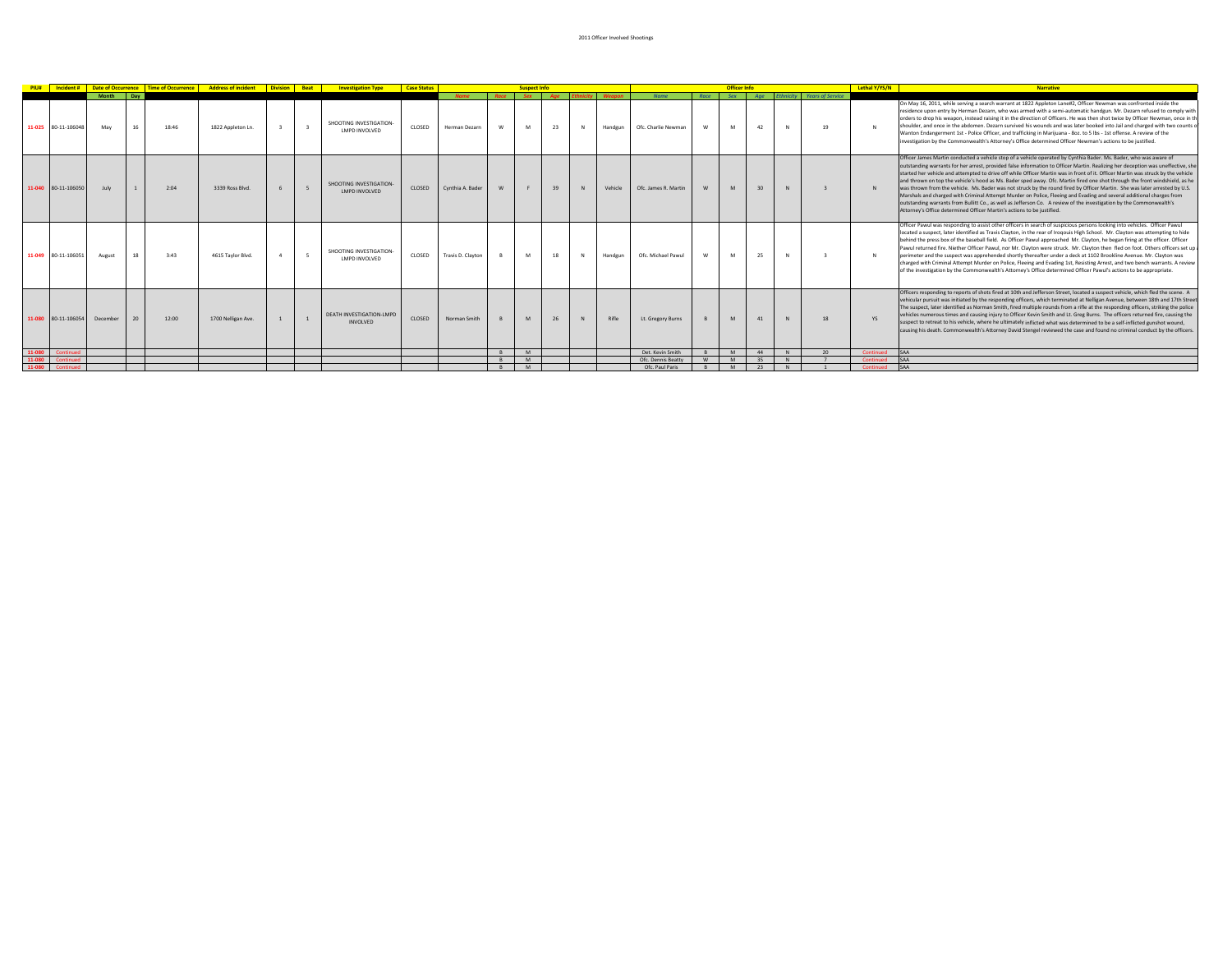| PIU#  |                     |                  |    |       |                    |              | <b>Incident #   Date of Occurrence   Time of Occurrence   Address of incident   Division   Beat   Investigation Type</b> | <b>Case Status</b> |                              |             | <b>Suspect Info</b> |    |         |                                       |      | <b>Officer Info</b> |           |               |                                 | Lethal Y/YS/N          | <b>Narrative</b>                                                                                                                                                                                                                                                                                                                                                                                                                                                                                                                                                                                                                                                                                                                                                                                                                                                                                                                                                               |
|-------|---------------------|------------------|----|-------|--------------------|--------------|--------------------------------------------------------------------------------------------------------------------------|--------------------|------------------------------|-------------|---------------------|----|---------|---------------------------------------|------|---------------------|-----------|---------------|---------------------------------|------------------------|--------------------------------------------------------------------------------------------------------------------------------------------------------------------------------------------------------------------------------------------------------------------------------------------------------------------------------------------------------------------------------------------------------------------------------------------------------------------------------------------------------------------------------------------------------------------------------------------------------------------------------------------------------------------------------------------------------------------------------------------------------------------------------------------------------------------------------------------------------------------------------------------------------------------------------------------------------------------------------|
|       | 11-025 80-11-106048 | Month Day<br>May | 16 | 18:46 | 1822 Appleton Ln.  | $\mathbf{R}$ | SHOOTING INVESTIGATION-<br>LMPD INVOLVED                                                                                 | CLOSED             | <b>Name</b><br>Herman Dezarn | <b>Dare</b> | <b>Cov</b><br>M     | 23 | Handgun | <b>Name</b><br>Ofc. Charlie Newman    | Race | <b>Sex</b><br>M     | Age<br>42 | <b>N</b>      | thnicity Years of Service<br>19 | N                      | On May 16, 2011, while serving a search warrant at 1822 Appleton Lane#2, Officer Newman was confronted inside the<br>residence upon entry by Herman Dezarn, who was armed with a semi-automatic handgun. Mr. Dezarn refused to comply with<br>orders to drop his weapon, instead raising it in the direction of Officers. He was then shot twice by Officer Newman, once in th<br>shoulder, and once in the abdomen. Dezarn survived his wounds and was later booked into Jail and charged with two counts of<br>Wanton Endangerment 1st - Police Officer, and trafficking in Marijuana - 8oz. to 5 lbs - 1st offense. A review of the<br>investigation by the Commonwealth's Attorney's Office determined Officer Newman's actions to be justified.                                                                                                                                                                                                                           |
|       | 11-040 80-11-106050 | July             |    | 2:04  | 3339 Ross Blvd.    |              | SHOOTING INVESTIGATION<br>LMPD INVOLVED                                                                                  | CLOSED             | Cynthia A. Bader             |             |                     |    | Vehicle | Ofc. James R. Martin                  |      |                     |           |               |                                 | N                      | Officer James Martin conducted a vehicle stop of a vehicle operated by Cynthia Bader. Ms. Bader, who was aware of<br>outstanding warrants for her arrest, provided false information to Officer Martin. Realizing her deception was uneffective, she<br>started her vehicle and attempted to drive off while Officer Martin was in front of it. Officer Martin was struck by the vehicle<br>and thrown on top the vehicle's hood as Ms. Bader sped away. Ofc. Martin fired one shot through the front windshield, as he<br>was thrown from the vehicle. Ms. Bader was not struck by the round fired by Officer Martin. She was later arrested by U.S.<br>Marshals and charged with Criminal Attempt Murder on Police, Fleeing and Evading and several additional charges from<br>outstanding warrants from Bullitt Co., as well as Jefferson Co. A review of the investigation by the Commonwealth's<br>Attorney's Office determined Officer Martin's actions to be justified. |
|       | 11-049 80-11-106051 | August           |    | 3:43  | 4615 Taylor Blvd.  |              | SHOOTING INVESTIGATION<br>LMPD INVOLVED                                                                                  | CLOSED             | Travis D. Clayton            |             | M                   | 18 | Handgun | Ofc. Michael Pawul                    |      | M                   | 25        |               |                                 | N                      | Officer Pawul was responding to assist other officers in search of suspicious persons looking into vehicles. Officer Pawul<br>located a suspect, later identified as Travis Clayton, in the rear of Irogouls High School. Mr. Clayton was attempting to hide<br>behind the press box of the baseball field. As Officer Pawul approached Mr. Clayton, he began firing at the officer. Officer<br>Pawul returned fire. Niether Officer Pawul, nor Mr. Clayton were struck. Mr. Clayton then fled on foot. Others officers set up a<br>perimeter and the suspect was apprehended shortly thereafter under a deck at 1102 Brookline Ayenue. Mr. Clayton was<br>charged with Criminal Attempt Murder on Police, Fleeing and Evading 1st, Resisting Arrest, and two bench warrants. A review<br>of the investigation by the Commonwealth's Attorney's Office determined Officer Pawul's actions to be appropriate.                                                                   |
|       | 11-080 80-11-106054 | December         |    | 12:00 | 1700 Nelligan Ave. |              | <b>DEATH INVESTIGATION-LMPD</b><br>INVOLVED                                                                              | CLOSED             | Norman Smith                 |             | M                   |    | Rifle   | Lt. Gregory Burns                     |      |                     | 41        |               | 18                              | <b>YS</b>              | Officers responding to reports of shots fired at 10th and Jefferson Street, located a suspect vehicle, which fled the scene. A<br>vehicular pursuit was initiated by the responding officers, which terminated at Nelligan Avenue, between 18th and 17th Street<br>The suspect, later identified as Norman Smith, fired multiple rounds from a rifle at the responding officers, striking the police<br>vehicles numerous times and causing injury to Officer Kevin Smith and Lt. Greg Burns. The officers returned fire, causing the<br>suspect to retreat to his vehicle, where he ultimately inflicted what was determined to be a self-inflicted gunshot wound.<br>causing his death. Commonwealth's Attorney David Stengel reviewed the case and found no criminal conduct by the officers.                                                                                                                                                                               |
| 11-08 |                     |                  |    |       |                    |              |                                                                                                                          |                    |                              |             | M<br>M              |    |         | Det Keyin Smith                       |      | M<br><b>M</b>       | 44        | <b>N</b><br>N | 20                              | Continued              | <b>SAA</b><br>SAA                                                                                                                                                                                                                                                                                                                                                                                                                                                                                                                                                                                                                                                                                                                                                                                                                                                                                                                                                              |
|       |                     |                  |    |       |                    |              |                                                                                                                          |                    |                              |             | <b>M</b>            |    |         | Ofc. Dennis Beatty<br>Ofc. Paul Paris |      | <b>M</b>            | 35<br>23  | N             |                                 | Continued<br>Continued | <b>SAA</b>                                                                                                                                                                                                                                                                                                                                                                                                                                                                                                                                                                                                                                                                                                                                                                                                                                                                                                                                                                     |
|       |                     |                  |    |       |                    |              |                                                                                                                          |                    |                              |             |                     |    |         |                                       |      |                     |           |               |                                 |                        |                                                                                                                                                                                                                                                                                                                                                                                                                                                                                                                                                                                                                                                                                                                                                                                                                                                                                                                                                                                |